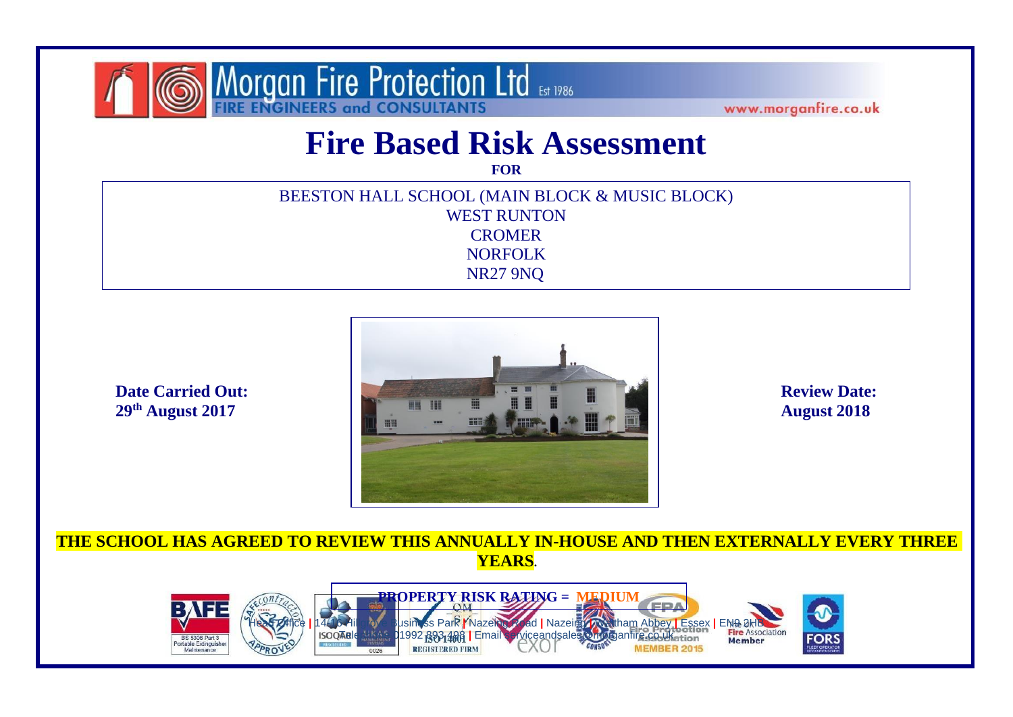

Morgan Fire Protection Ltd Est 1986

www.morganfire.co.uk

# **Fire Based Risk Assessment**

**FOR**

BEESTON HALL SCHOOL (MAIN BLOCK & MUSIC BLOCK) WEST RUNTON **CROMER NORFOLK** NR27 9NQ



**THE SCHOOL HAS AGREED TO REVIEW THIS ANNUALLY IN-HOUSE AND THEN EXTERNALLY EVERY THREE YEARS.** 

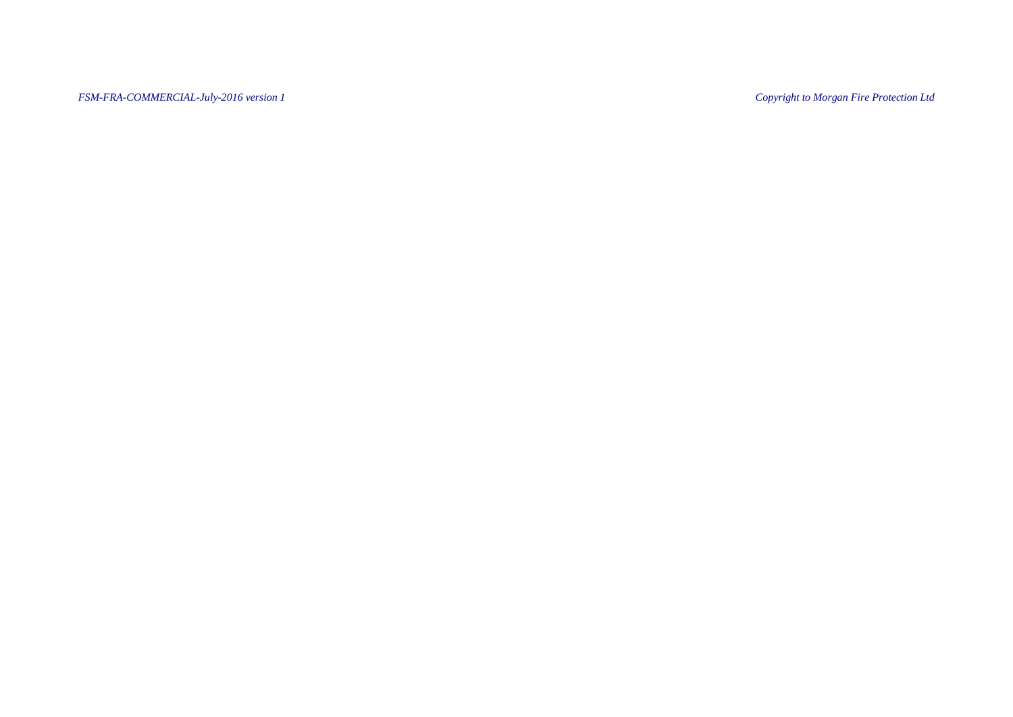*FSM-FRA-COMMERCIAL-July-2016 version 1 Copyright to Morgan Fire Protection Ltd*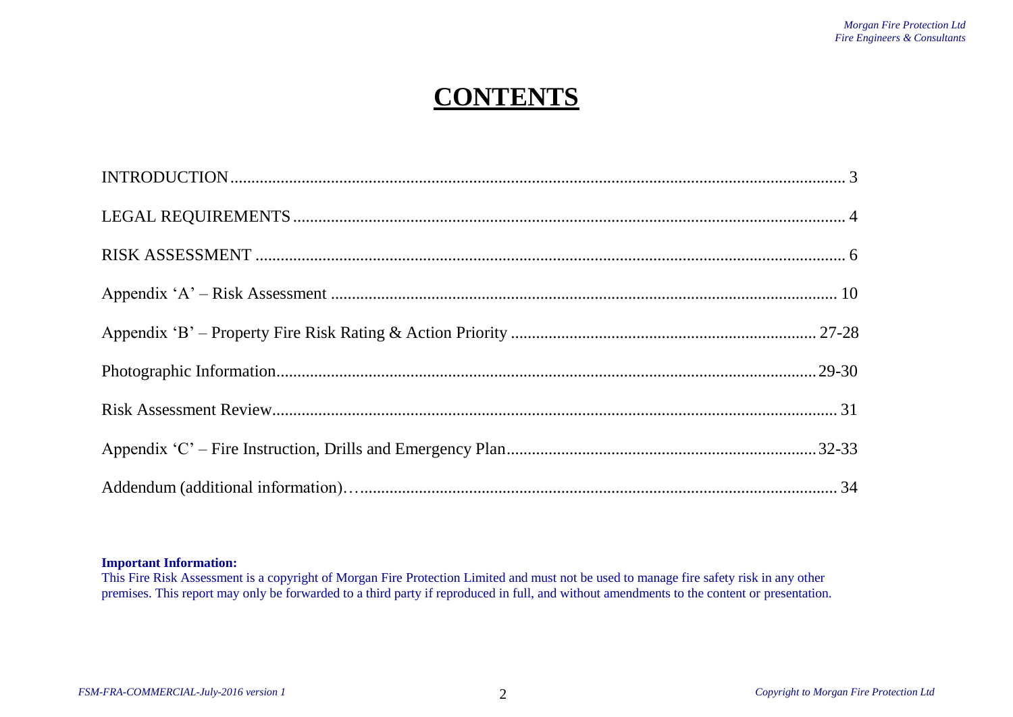## **CONTENTS**

#### **Important Information:**

This Fire Risk Assessment is a copyright of Morgan Fire Protection Limited and must not be used to manage fire safety risk in any other premises. This report may only be forwarded to a third party if reproduced in full, and without amendments to the content or presentation.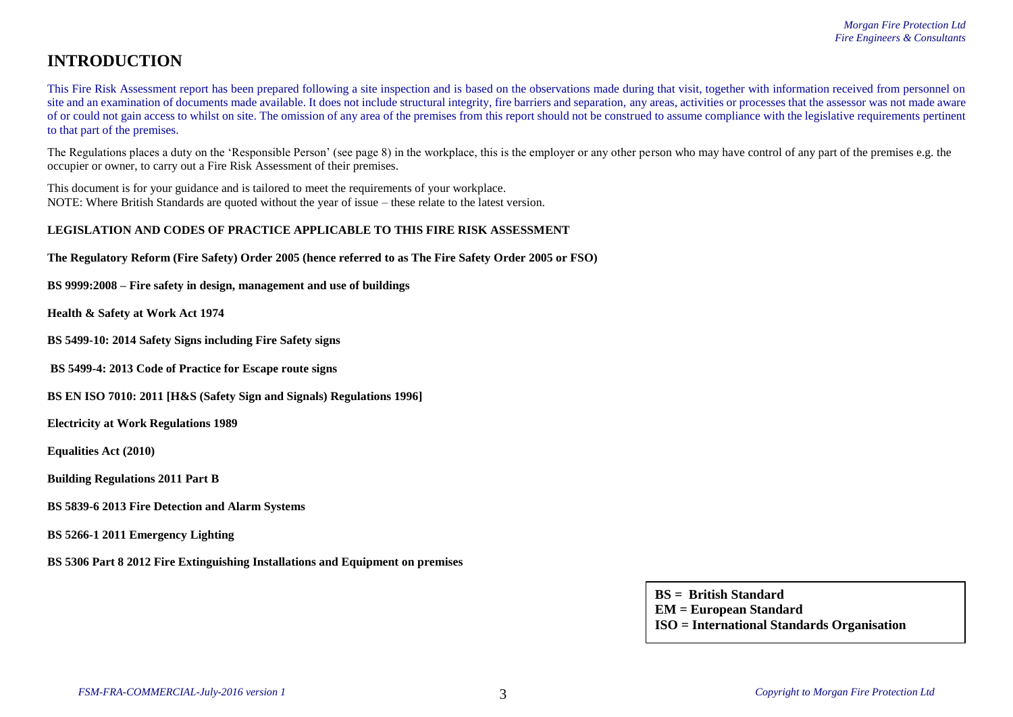### <span id="page-3-0"></span>**INTRODUCTION**

This Fire Risk Assessment report has been prepared following a site inspection and is based on the observations made during that visit, together with information received from personnel on site and an examination of documents made available. It does not include structural integrity, fire barriers and separation, any areas, activities or processes that the assessor was not made aware of or could not gain access to whilst on site. The omission of any area of the premises from this report should not be construed to assume compliance with the legislative requirements pertinent to that part of the premises.

The Regulations places a duty on the 'Responsible Person' (see page 8) in the workplace, this is the employer or any other person who may have control of any part of the premises e.g. the occupier or owner, to carry out a Fire Risk Assessment of their premises.

This document is for your guidance and is tailored to meet the requirements of your workplace. NOTE: Where British Standards are quoted without the year of issue – these relate to the latest version.

#### **LEGISLATION AND CODES OF PRACTICE APPLICABLE TO THIS FIRE RISK ASSESSMENT**

**The Regulatory Reform (Fire Safety) Order 2005 (hence referred to as The Fire Safety Order 2005 or FSO)** 

**BS 9999:2008 – Fire safety in design, management and use of buildings**

**Health & Safety at Work Act 1974**

**BS 5499-10: 2014 Safety Signs including Fire Safety signs** 

**BS 5499-4: 2013 Code of Practice for Escape route signs**

**BS EN ISO 7010: 2011 [H&S (Safety Sign and Signals) Regulations 1996]** 

**Electricity at Work Regulations 1989**

**Equalities Act (2010)**

**Building Regulations 2011 Part B**

**BS 5839-6 2013 Fire Detection and Alarm Systems** 

**BS 5266-1 2011 Emergency Lighting**

**BS 5306 Part 8 2012 Fire Extinguishing Installations and Equipment on premises**

**BS = British Standard EM = European Standard ISO = International Standards Organisation**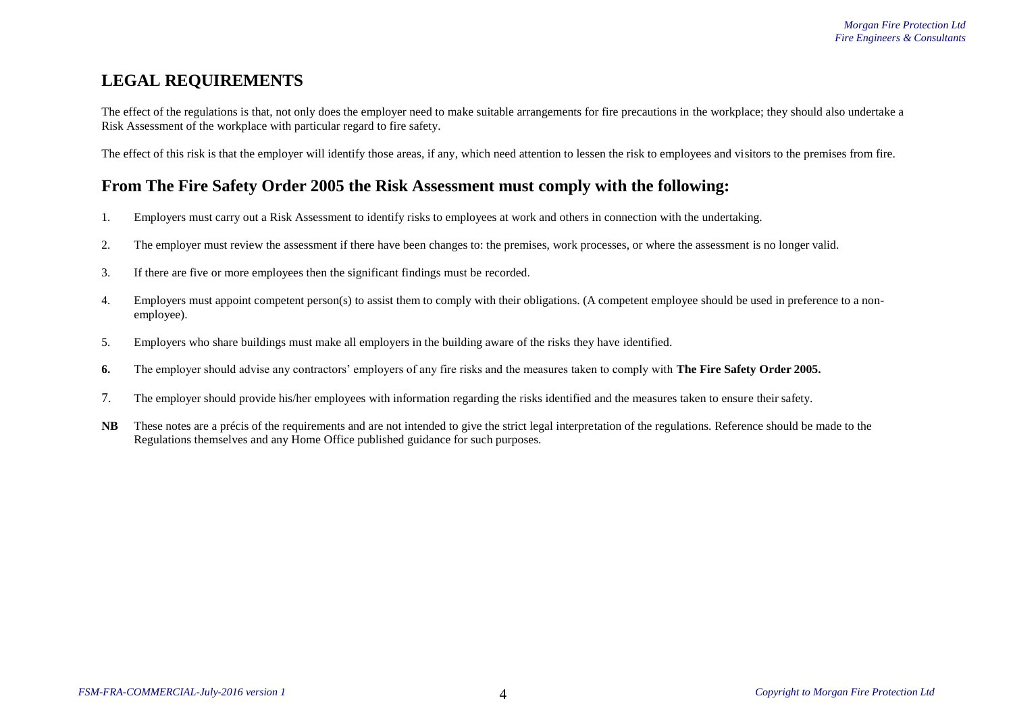### <span id="page-4-0"></span>**LEGAL REQUIREMENTS**

The effect of the regulations is that, not only does the employer need to make suitable arrangements for fire precautions in the workplace; they should also undertake a Risk Assessment of the workplace with particular regard to fire safety.

The effect of this risk is that the employer will identify those areas, if any, which need attention to lessen the risk to employees and visitors to the premises from fire.

### **From The Fire Safety Order 2005 the Risk Assessment must comply with the following:**

- 1. Employers must carry out a Risk Assessment to identify risks to employees at work and others in connection with the undertaking.
- 2. The employer must review the assessment if there have been changes to: the premises, work processes, or where the assessment is no longer valid.
- 3. If there are five or more employees then the significant findings must be recorded.
- 4. Employers must appoint competent person(s) to assist them to comply with their obligations. (A competent employee should be used in preference to a nonemployee).
- 5. Employers who share buildings must make all employers in the building aware of the risks they have identified.
- **6.** The employer should advise any contractors' employers of any fire risks and the measures taken to comply with **The Fire Safety Order 2005.**
- 7. The employer should provide his/her employees with information regarding the risks identified and the measures taken to ensure their safety.
- **NB** These notes are a précis of the requirements and are not intended to give the strict legal interpretation of the regulations. Reference should be made to the Regulations themselves and any Home Office published guidance for such purposes.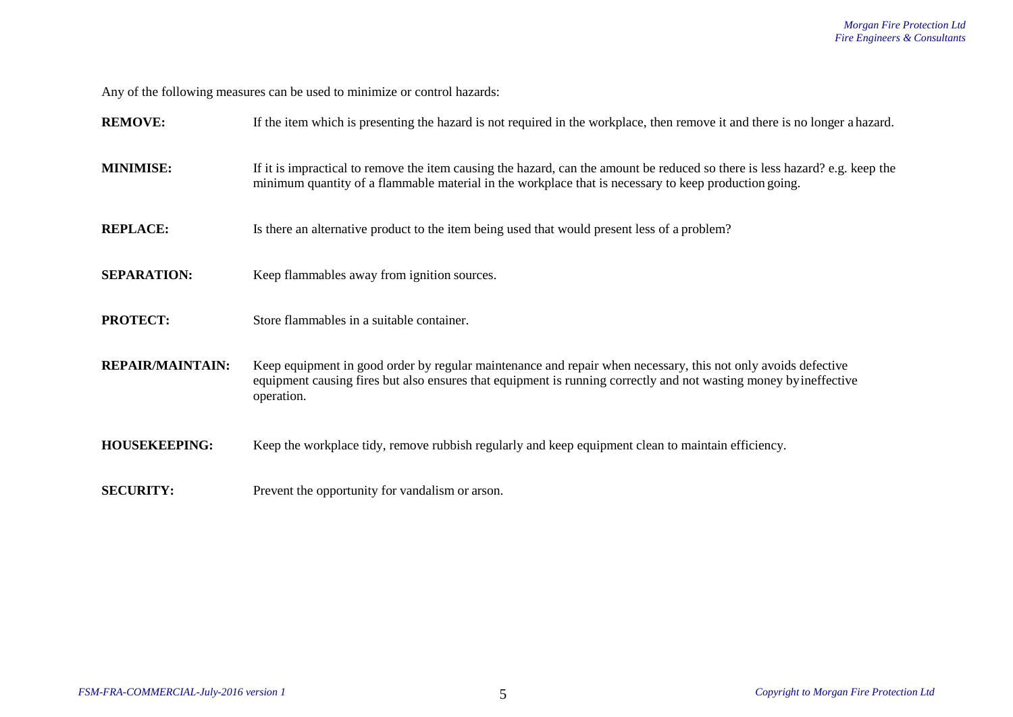Any of the following measures can be used to minimize or control hazards:

| <b>REMOVE:</b>          | If the item which is presenting the hazard is not required in the workplace, then remove it and there is no longer a hazard.                                                                                                                     |
|-------------------------|--------------------------------------------------------------------------------------------------------------------------------------------------------------------------------------------------------------------------------------------------|
| <b>MINIMISE:</b>        | If it is impractical to remove the item causing the hazard, can the amount be reduced so there is less hazard? e.g. keep the<br>minimum quantity of a flammable material in the workplace that is necessary to keep production going.            |
| <b>REPLACE:</b>         | Is there an alternative product to the item being used that would present less of a problem?                                                                                                                                                     |
| <b>SEPARATION:</b>      | Keep flammables away from ignition sources.                                                                                                                                                                                                      |
| <b>PROTECT:</b>         | Store flammables in a suitable container.                                                                                                                                                                                                        |
| <b>REPAIR/MAINTAIN:</b> | Keep equipment in good order by regular maintenance and repair when necessary, this not only avoids defective<br>equipment causing fires but also ensures that equipment is running correctly and not wasting money by ineffective<br>operation. |
| <b>HOUSEKEEPING:</b>    | Keep the workplace tidy, remove rubbish regularly and keep equipment clean to maintain efficiency.                                                                                                                                               |
| <b>SECURITY:</b>        | Prevent the opportunity for vandalism or arson.                                                                                                                                                                                                  |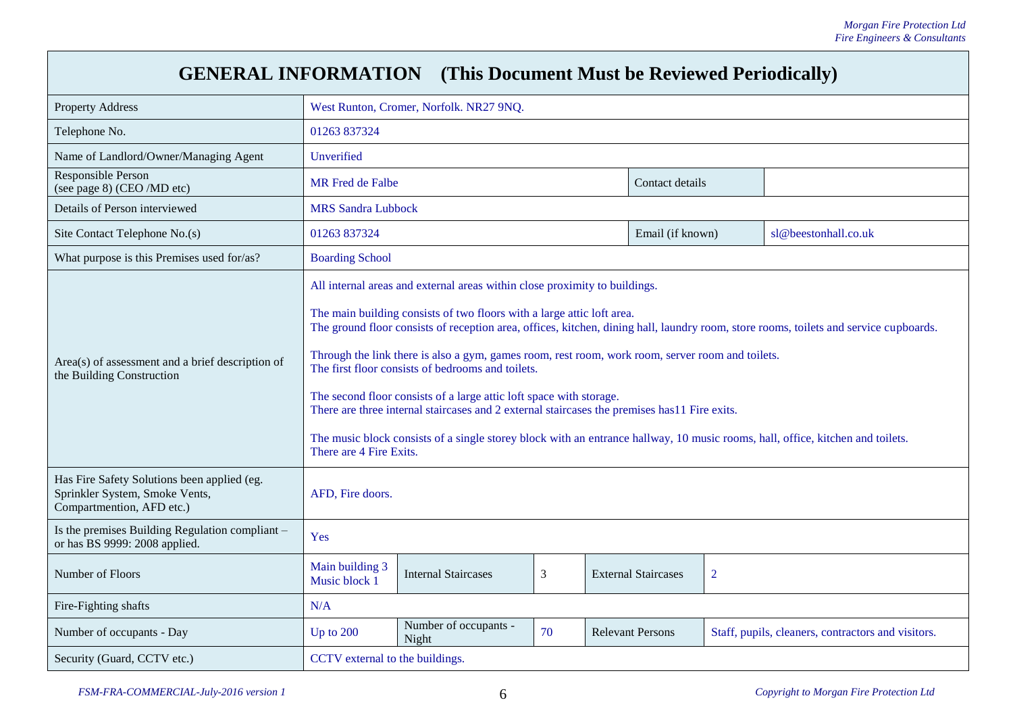## **GENERAL INFORMATION (This Document Must be Reviewed Periodically)**

| <b>Property Address</b>                                                                                    | West Runton, Cromer, Norfolk. NR27 9NQ.                                                                                                                                                                                                                                                                                                                                                                                                                                                                                                                                                                                                                                                                                                                                                     |                                     |                |                            |                |                                                    |
|------------------------------------------------------------------------------------------------------------|---------------------------------------------------------------------------------------------------------------------------------------------------------------------------------------------------------------------------------------------------------------------------------------------------------------------------------------------------------------------------------------------------------------------------------------------------------------------------------------------------------------------------------------------------------------------------------------------------------------------------------------------------------------------------------------------------------------------------------------------------------------------------------------------|-------------------------------------|----------------|----------------------------|----------------|----------------------------------------------------|
| Telephone No.                                                                                              | 01263 837324                                                                                                                                                                                                                                                                                                                                                                                                                                                                                                                                                                                                                                                                                                                                                                                |                                     |                |                            |                |                                                    |
| Name of Landlord/Owner/Managing Agent                                                                      | Unverified                                                                                                                                                                                                                                                                                                                                                                                                                                                                                                                                                                                                                                                                                                                                                                                  |                                     |                |                            |                |                                                    |
| Responsible Person<br>(see page 8) (CEO /MD etc)                                                           |                                                                                                                                                                                                                                                                                                                                                                                                                                                                                                                                                                                                                                                                                                                                                                                             | MR Fred de Falbe<br>Contact details |                |                            |                |                                                    |
| Details of Person interviewed                                                                              | <b>MRS Sandra Lubbock</b>                                                                                                                                                                                                                                                                                                                                                                                                                                                                                                                                                                                                                                                                                                                                                                   |                                     |                |                            |                |                                                    |
| Site Contact Telephone No.(s)                                                                              | 01263 837324                                                                                                                                                                                                                                                                                                                                                                                                                                                                                                                                                                                                                                                                                                                                                                                |                                     |                | Email (if known)           |                | sl@beestonhall.co.uk                               |
| What purpose is this Premises used for/as?                                                                 | <b>Boarding School</b>                                                                                                                                                                                                                                                                                                                                                                                                                                                                                                                                                                                                                                                                                                                                                                      |                                     |                |                            |                |                                                    |
| Area(s) of assessment and a brief description of<br>the Building Construction                              | All internal areas and external areas within close proximity to buildings.<br>The main building consists of two floors with a large attic loft area.<br>The ground floor consists of reception area, offices, kitchen, dining hall, laundry room, store rooms, toilets and service cupboards.<br>Through the link there is also a gym, games room, rest room, work room, server room and toilets.<br>The first floor consists of bedrooms and toilets.<br>The second floor consists of a large attic loft space with storage.<br>There are three internal staircases and 2 external staircases the premises has 11 Fire exits.<br>The music block consists of a single storey block with an entrance hallway, 10 music rooms, hall, office, kitchen and toilets.<br>There are 4 Fire Exits. |                                     |                |                            |                |                                                    |
| Has Fire Safety Solutions been applied (eg.<br>Sprinkler System, Smoke Vents,<br>Compartmention, AFD etc.) | AFD, Fire doors.                                                                                                                                                                                                                                                                                                                                                                                                                                                                                                                                                                                                                                                                                                                                                                            |                                     |                |                            |                |                                                    |
| Is the premises Building Regulation compliant -<br>or has BS 9999: 2008 applied.                           | Yes                                                                                                                                                                                                                                                                                                                                                                                                                                                                                                                                                                                                                                                                                                                                                                                         |                                     |                |                            |                |                                                    |
| Number of Floors                                                                                           | Main building 3<br>Music block 1                                                                                                                                                                                                                                                                                                                                                                                                                                                                                                                                                                                                                                                                                                                                                            | <b>Internal Staircases</b>          | $\mathfrak{Z}$ | <b>External Staircases</b> | $\overline{2}$ |                                                    |
| Fire-Fighting shafts                                                                                       | N/A                                                                                                                                                                                                                                                                                                                                                                                                                                                                                                                                                                                                                                                                                                                                                                                         |                                     |                |                            |                |                                                    |
| Number of occupants - Day                                                                                  | Up to $200$                                                                                                                                                                                                                                                                                                                                                                                                                                                                                                                                                                                                                                                                                                                                                                                 | Number of occupants -<br>Night      | 70             | <b>Relevant Persons</b>    |                | Staff, pupils, cleaners, contractors and visitors. |
| Security (Guard, CCTV etc.)                                                                                | CCTV external to the buildings.                                                                                                                                                                                                                                                                                                                                                                                                                                                                                                                                                                                                                                                                                                                                                             |                                     |                |                            |                |                                                    |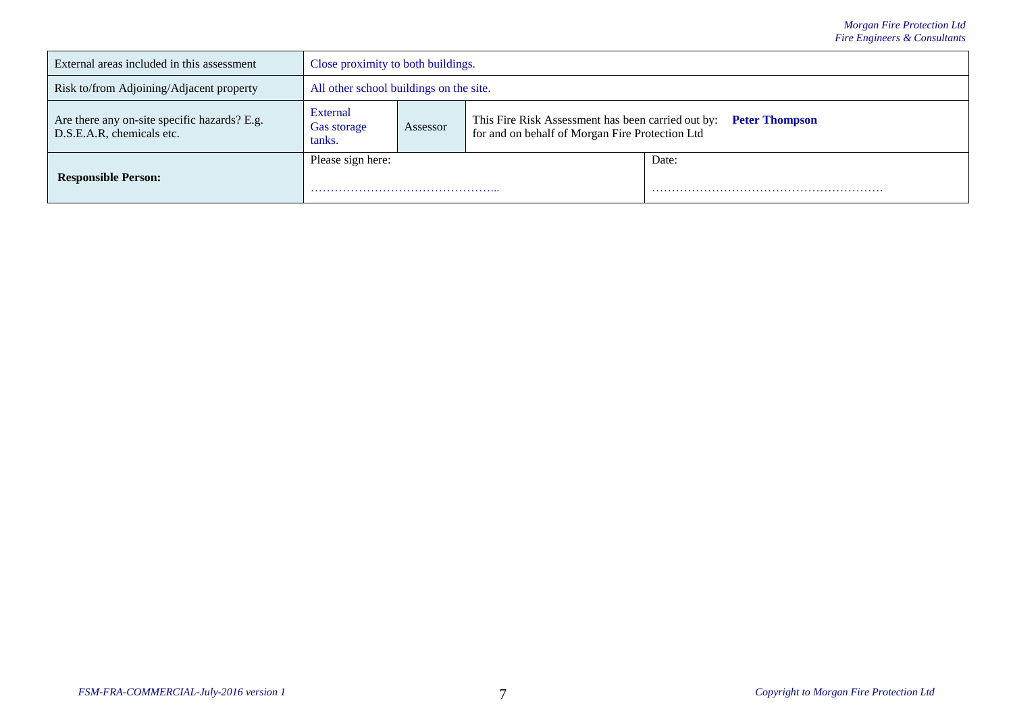*Morgan Fire Protection Ltd Fire Engineers & Consultants*

| External areas included in this assessment                                |                                   | Close proximity to both buildings.      |  |                                                                                                                                |  |
|---------------------------------------------------------------------------|-----------------------------------|-----------------------------------------|--|--------------------------------------------------------------------------------------------------------------------------------|--|
| Risk to/from Adjoining/Adjacent property                                  |                                   | All other school buildings on the site. |  |                                                                                                                                |  |
| Are there any on-site specific hazards? E.g.<br>D.S.E.A.R, chemicals etc. | External<br>Gas storage<br>tanks. | Assessor                                |  | This Fire Risk Assessment has been carried out by:<br><b>Peter Thompson</b><br>for and on behalf of Morgan Fire Protection Ltd |  |
| <b>Responsible Person:</b>                                                | Please sign here:                 |                                         |  | Date:                                                                                                                          |  |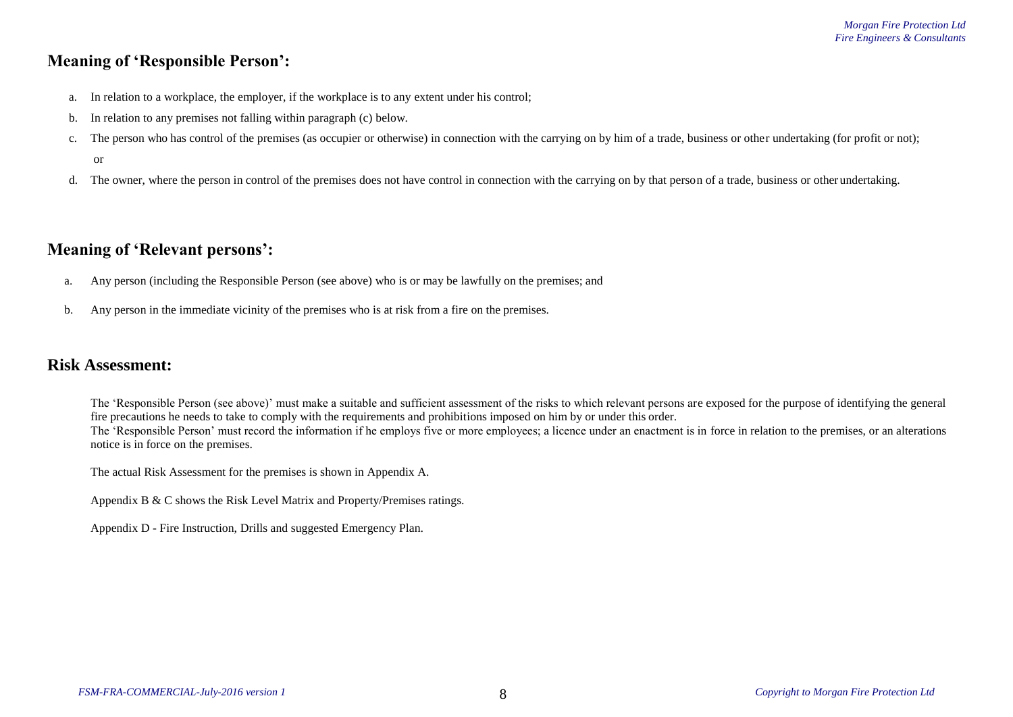### **Meaning of 'Responsible Person':**

- a. In relation to a workplace, the employer, if the workplace is to any extent under his control;
- b. In relation to any premises not falling within paragraph (c) below.
- c. The person who has control of the premises (as occupier or otherwise) in connection with the carrying on by him of a trade, business or other undertaking (for profit or not); or
- d. The owner, where the person in control of the premises does not have control in connection with the carrying on by that person of a trade, business or other undertaking.

### **Meaning of 'Relevant persons':**

- a. Any person (including the Responsible Person (see above) who is or may be lawfully on the premises; and
- b. Any person in the immediate vicinity of the premises who is at risk from a fire on the premises.

### <span id="page-8-0"></span>**Risk Assessment:**

The 'Responsible Person (see above)' must make a suitable and sufficient assessment of the risks to which relevant persons are exposed for the purpose of identifying the general fire precautions he needs to take to comply with the requirements and prohibitions imposed on him by or under this order. The 'Responsible Person' must record the information if he employs five or more employees; a licence under an enactment is in force in relation to the premises, or an alterations notice is in force on the premises.

The actual Risk Assessment for the premises is shown in Appendix A.

Appendix B & C shows the Risk Level Matrix and Property/Premises ratings.

Appendix D - Fire Instruction, Drills and suggested Emergency Plan.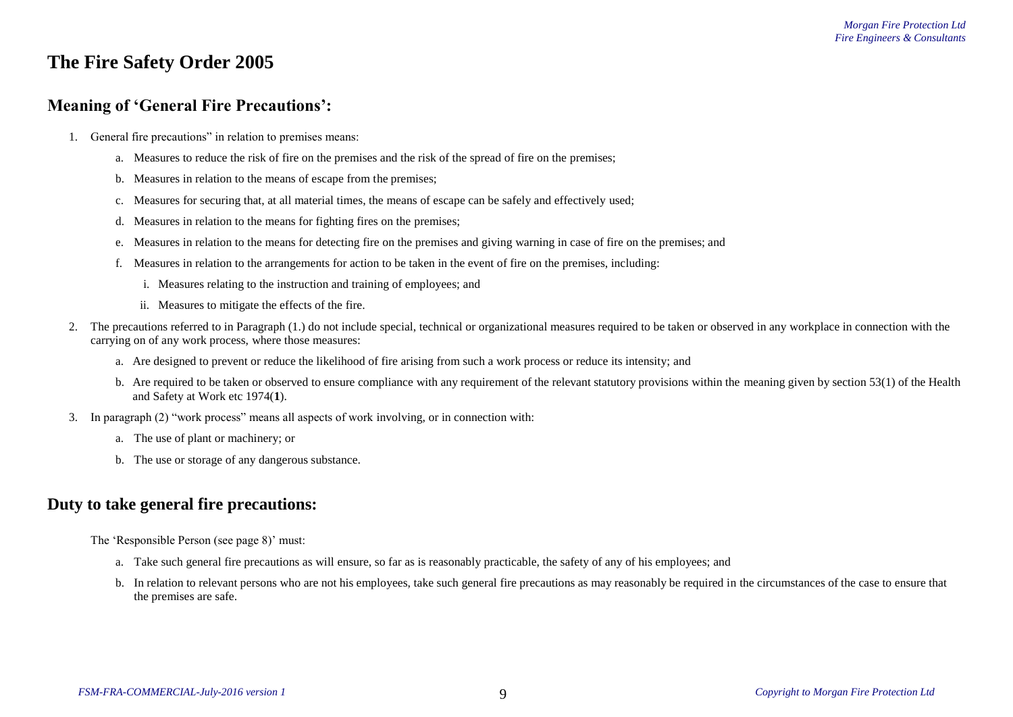### **The Fire Safety Order 2005**

### **Meaning of 'General Fire Precautions':**

- 1. General fire precautions" in relation to premises means:
	- a. Measures to reduce the risk of fire on the premises and the risk of the spread of fire on the premises;
	- b. Measures in relation to the means of escape from the premises;
	- c. Measures for securing that, at all material times, the means of escape can be safely and effectively used;
	- d. Measures in relation to the means for fighting fires on the premises;
	- e. Measures in relation to the means for detecting fire on the premises and giving warning in case of fire on the premises; and
	- f. Measures in relation to the arrangements for action to be taken in the event of fire on the premises, including:
		- i. Measures relating to the instruction and training of employees; and
		- ii. Measures to mitigate the effects of the fire.
- 2. The precautions referred to in Paragraph (1.) do not include special, technical or organizational measures required to be taken or observed in any workplace in connection with the carrying on of any work process, where those measures:
	- a. Are designed to prevent or reduce the likelihood of fire arising from such a work process or reduce its intensity; and
	- b. Are required to be taken or observed to ensure compliance with any requirement of the relevant statutory provisions within the meaning given by section 53(1) of the Health and Safety at Work etc 1974(**[1](http://www.legislation.gov.uk/uksi/2005/1541/article/4/made#f00012)**).
- 3. In paragraph (2) "work process" means all aspects of work involving, or in connection with:
	- a. The use of plant or machinery; or
	- b. The use or storage of any dangerous substance.

### **Duty to take general fire precautions:**

The 'Responsible Person (see page 8)' must:

- a. Take such general fire precautions as will ensure, so far as is reasonably practicable, the safety of any of his employees; and
- b. In relation to relevant persons who are not his employees, take such general fire precautions as may reasonably be required in the circumstances of the case to ensure that the premises are safe.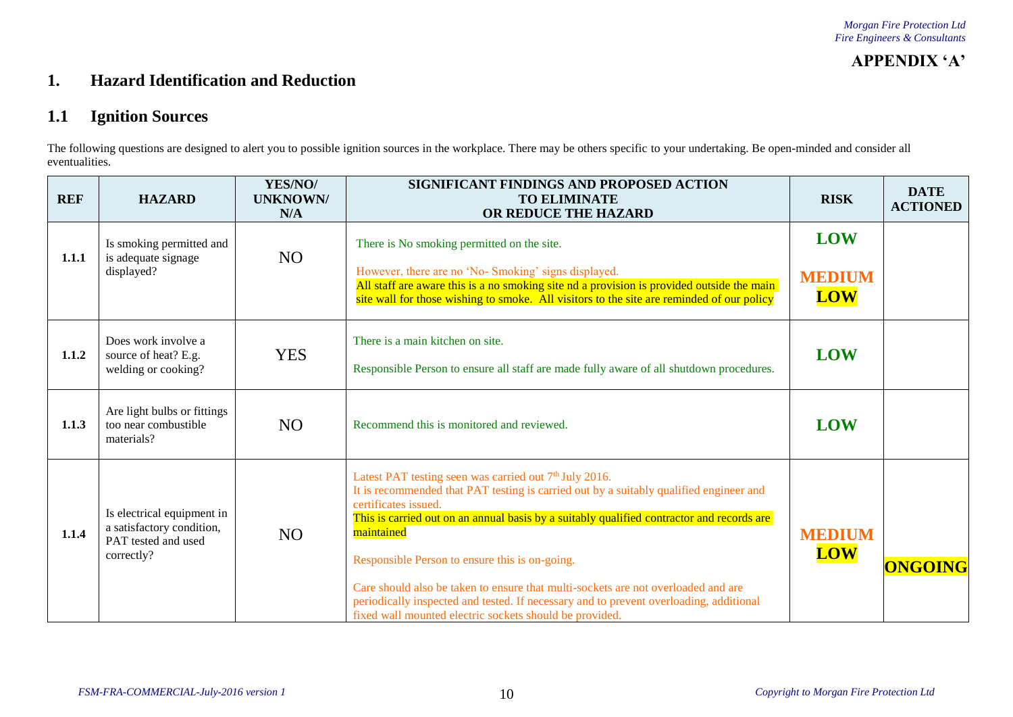### **1. Hazard Identification and Reduction**

### **1.1 Ignition Sources**

The following questions are designed to alert you to possible ignition sources in the workplace. There may be others specific to your undertaking. Be open-minded and consider all eventualities.

| <b>REF</b> | <b>HAZARD</b>                                                                                | YES/NO/<br><b>UNKNOWN/</b><br>N/A | <b>SIGNIFICANT FINDINGS AND PROPOSED ACTION</b><br><b>TO ELIMINATE</b><br>OR REDUCE THE HAZARD                                                                                                                                                                                                                                                                                                                                                                                                                                                                                              | <b>RISK</b>                               | <b>DATE</b><br><b>ACTIONED</b> |
|------------|----------------------------------------------------------------------------------------------|-----------------------------------|---------------------------------------------------------------------------------------------------------------------------------------------------------------------------------------------------------------------------------------------------------------------------------------------------------------------------------------------------------------------------------------------------------------------------------------------------------------------------------------------------------------------------------------------------------------------------------------------|-------------------------------------------|--------------------------------|
| 1.1.1      | Is smoking permitted and<br>is adequate signage<br>displayed?                                | NO                                | There is No smoking permitted on the site.<br>However, there are no 'No- Smoking' signs displayed.<br>All staff are aware this is a no smoking site nd a provision is provided outside the main<br>site wall for those wishing to smoke. All visitors to the site are reminded of our policy                                                                                                                                                                                                                                                                                                | <b>LOW</b><br><b>MEDIUM</b><br><b>LOW</b> |                                |
| 1.1.2      | Does work involve a<br>source of heat? E.g.<br>welding or cooking?                           | <b>YES</b>                        | There is a main kitchen on site.<br>Responsible Person to ensure all staff are made fully aware of all shutdown procedures.                                                                                                                                                                                                                                                                                                                                                                                                                                                                 | <b>LOW</b>                                |                                |
| 1.1.3      | Are light bulbs or fittings<br>too near combustible<br>materials?                            | NO                                | Recommend this is monitored and reviewed.                                                                                                                                                                                                                                                                                                                                                                                                                                                                                                                                                   | <b>LOW</b>                                |                                |
| 1.1.4      | Is electrical equipment in<br>a satisfactory condition,<br>PAT tested and used<br>correctly? | NO                                | Latest PAT testing seen was carried out 7 <sup>th</sup> July 2016.<br>It is recommended that PAT testing is carried out by a suitably qualified engineer and<br>certificates issued.<br>This is carried out on an annual basis by a suitably qualified contractor and records are<br>maintained<br>Responsible Person to ensure this is on-going.<br>Care should also be taken to ensure that multi-sockets are not overloaded and are<br>periodically inspected and tested. If necessary and to prevent overloading, additional<br>fixed wall mounted electric sockets should be provided. | <b>MEDIUM</b><br><b>LOW</b>               | <b>ONGOING</b>                 |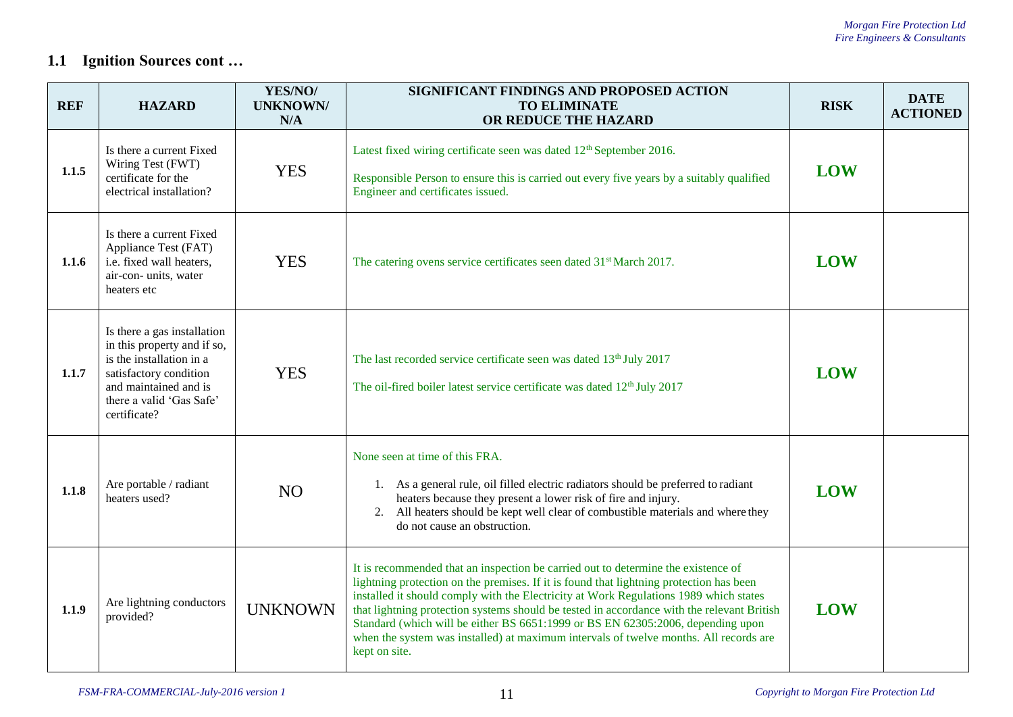### **1.1 Ignition Sources cont …**

| <b>REF</b> | <b>HAZARD</b>                                                                                                                                                                         | YES/NO/<br><b>UNKNOWN/</b><br>N/A | SIGNIFICANT FINDINGS AND PROPOSED ACTION<br><b>TO ELIMINATE</b><br>OR REDUCE THE HAZARD                                                                                                                                                                                                                                                                                                                                                                                                                                                                          | <b>RISK</b> | <b>DATE</b><br><b>ACTIONED</b> |
|------------|---------------------------------------------------------------------------------------------------------------------------------------------------------------------------------------|-----------------------------------|------------------------------------------------------------------------------------------------------------------------------------------------------------------------------------------------------------------------------------------------------------------------------------------------------------------------------------------------------------------------------------------------------------------------------------------------------------------------------------------------------------------------------------------------------------------|-------------|--------------------------------|
| 1.1.5      | Is there a current Fixed<br>Wiring Test (FWT)<br>certificate for the<br>electrical installation?                                                                                      | <b>YES</b>                        | Latest fixed wiring certificate seen was dated 12 <sup>th</sup> September 2016.<br>Responsible Person to ensure this is carried out every five years by a suitably qualified<br>Engineer and certificates issued.                                                                                                                                                                                                                                                                                                                                                | <b>LOW</b>  |                                |
| 1.1.6      | Is there a current Fixed<br>Appliance Test (FAT)<br>i.e. fixed wall heaters,<br>air-con- units, water<br>heaters etc                                                                  | <b>YES</b>                        | The catering ovens service certificates seen dated 31 <sup>st</sup> March 2017.                                                                                                                                                                                                                                                                                                                                                                                                                                                                                  | LOW         |                                |
| 1.1.7      | Is there a gas installation<br>in this property and if so,<br>is the installation in a<br>satisfactory condition<br>and maintained and is<br>there a valid 'Gas Safe'<br>certificate? | <b>YES</b>                        | The last recorded service certificate seen was dated 13 <sup>th</sup> July 2017<br>The oil-fired boiler latest service certificate was dated 12 <sup>th</sup> July 2017                                                                                                                                                                                                                                                                                                                                                                                          | LOW         |                                |
| 1.1.8      | Are portable / radiant<br>heaters used?                                                                                                                                               | N <sub>O</sub>                    | None seen at time of this FRA.<br>1. As a general rule, oil filled electric radiators should be preferred to radiant<br>heaters because they present a lower risk of fire and injury.<br>2. All heaters should be kept well clear of combustible materials and where they<br>do not cause an obstruction.                                                                                                                                                                                                                                                        | <b>LOW</b>  |                                |
| 1.1.9      | Are lightning conductors<br>provided?                                                                                                                                                 | <b>UNKNOWN</b>                    | It is recommended that an inspection be carried out to determine the existence of<br>lightning protection on the premises. If it is found that lightning protection has been<br>installed it should comply with the Electricity at Work Regulations 1989 which states<br>that lightning protection systems should be tested in accordance with the relevant British<br>Standard (which will be either BS 6651:1999 or BS EN 62305:2006, depending upon<br>when the system was installed) at maximum intervals of twelve months. All records are<br>kept on site. | <b>LOW</b>  |                                |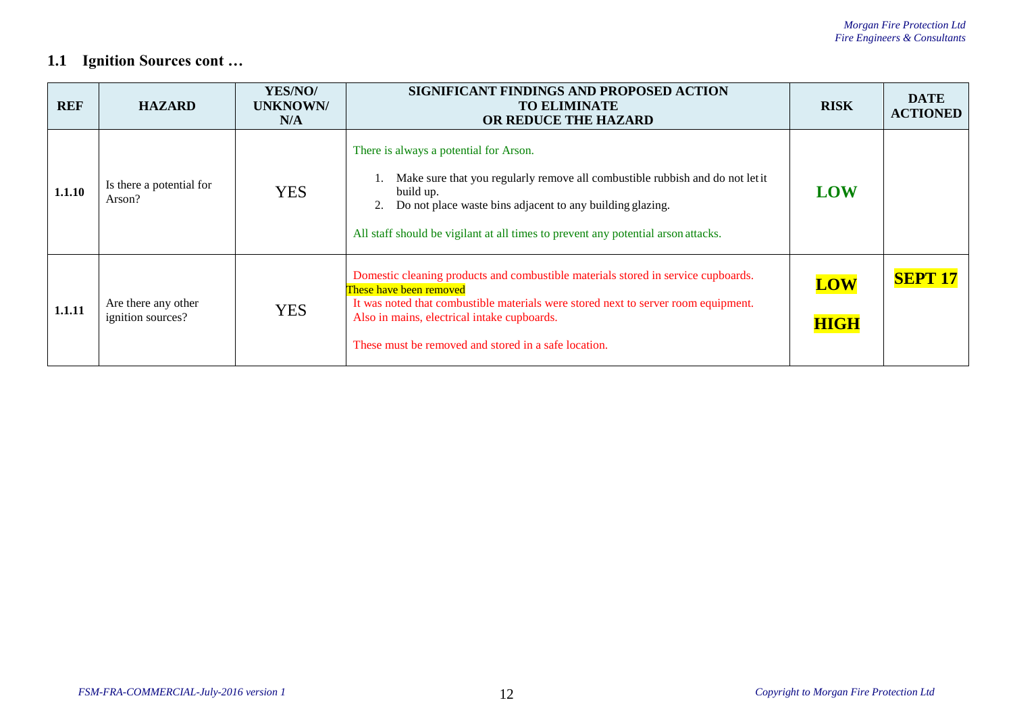### **1.1 Ignition Sources cont …**

| <b>REF</b> | <b>HAZARD</b>                            | YES/NO/<br><b>UNKNOWN/</b><br>N/A | SIGNIFICANT FINDINGS AND PROPOSED ACTION<br><b>TO ELIMINATE</b><br>OR REDUCE THE HAZARD                                                                                                                                                                                                                   | <b>RISK</b>               | <b>DATE</b><br><b>ACTIONED</b> |
|------------|------------------------------------------|-----------------------------------|-----------------------------------------------------------------------------------------------------------------------------------------------------------------------------------------------------------------------------------------------------------------------------------------------------------|---------------------------|--------------------------------|
| 1.1.10     | Is there a potential for<br>Arson?       | <b>YES</b>                        | There is always a potential for Arson.<br>Make sure that you regularly remove all combustible rubbish and do not let it<br>build up.<br>Do not place waste bins adjacent to any building glazing.<br>2.<br>All staff should be vigilant at all times to prevent any potential arson attacks.              | <b>LOW</b>                |                                |
| 1.1.11     | Are there any other<br>ignition sources? | <b>YES</b>                        | Domestic cleaning products and combustible materials stored in service cupboards.<br>These have been removed<br>It was noted that combustible materials were stored next to server room equipment.<br>Also in mains, electrical intake cupboards.<br>These must be removed and stored in a safe location. | <b>LOW</b><br><b>HIGH</b> | <b>SEPT 17</b>                 |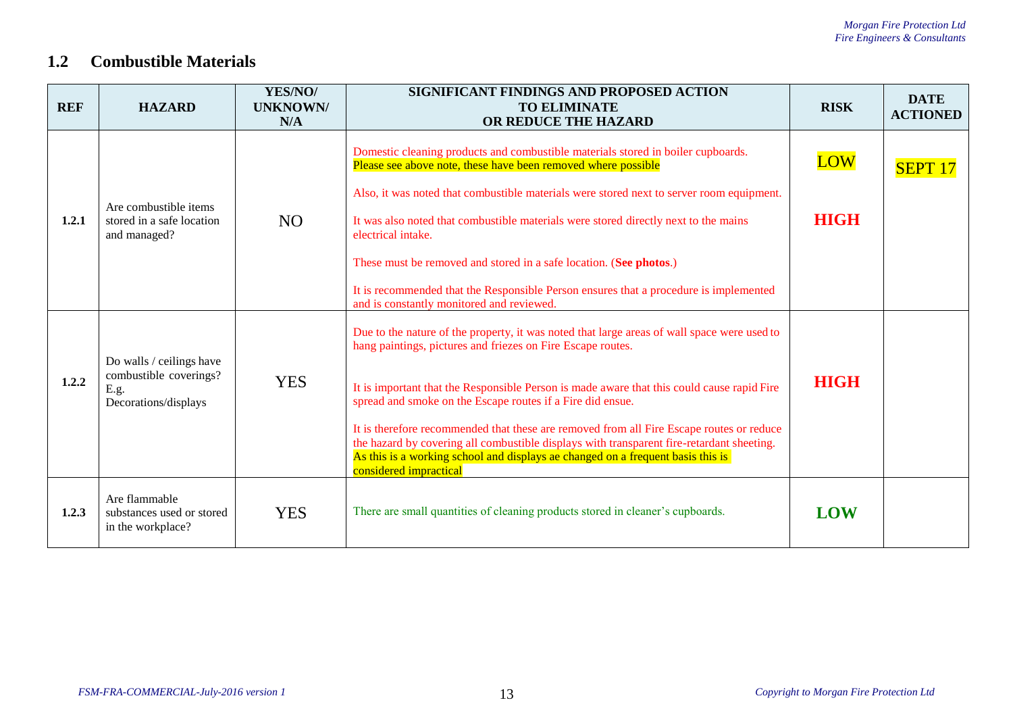### **1.2 Combustible Materials**

| <b>REF</b> | <b>HAZARD</b>                                                                      | YES/NO/<br><b>UNKNOWN/</b><br>N/A | SIGNIFICANT FINDINGS AND PROPOSED ACTION<br><b>TO ELIMINATE</b><br>OR REDUCE THE HAZARD                                                                                                                                                                                                                                                                                                                                                                                                                                                                                                                                      | <b>RISK</b>               | <b>DATE</b><br><b>ACTIONED</b> |
|------------|------------------------------------------------------------------------------------|-----------------------------------|------------------------------------------------------------------------------------------------------------------------------------------------------------------------------------------------------------------------------------------------------------------------------------------------------------------------------------------------------------------------------------------------------------------------------------------------------------------------------------------------------------------------------------------------------------------------------------------------------------------------------|---------------------------|--------------------------------|
| 1.2.1      | Are combustible items<br>stored in a safe location<br>and managed?                 | NO                                | Domestic cleaning products and combustible materials stored in boiler cupboards.<br>Please see above note, these have been removed where possible<br>Also, it was noted that combustible materials were stored next to server room equipment.<br>It was also noted that combustible materials were stored directly next to the mains<br>electrical intake.<br>These must be removed and stored in a safe location. (See photos.)<br>It is recommended that the Responsible Person ensures that a procedure is implemented<br>and is constantly monitored and reviewed.                                                       | <b>LOW</b><br><b>HIGH</b> | <b>SEPT 17</b>                 |
| 1.2.2      | Do walls / ceilings have<br>combustible coverings?<br>E.g.<br>Decorations/displays | <b>YES</b>                        | Due to the nature of the property, it was noted that large areas of wall space were used to<br>hang paintings, pictures and friezes on Fire Escape routes.<br>It is important that the Responsible Person is made aware that this could cause rapid Fire<br>spread and smoke on the Escape routes if a Fire did ensue.<br>It is therefore recommended that these are removed from all Fire Escape routes or reduce<br>the hazard by covering all combustible displays with transparent fire-retardant sheeting.<br>As this is a working school and displays ae changed on a frequent basis this is<br>considered impractical | <b>HIGH</b>               |                                |
| 1.2.3      | Are flammable<br>substances used or stored<br>in the workplace?                    | <b>YES</b>                        | There are small quantities of cleaning products stored in cleaner's cupboards.                                                                                                                                                                                                                                                                                                                                                                                                                                                                                                                                               | <b>LOW</b>                |                                |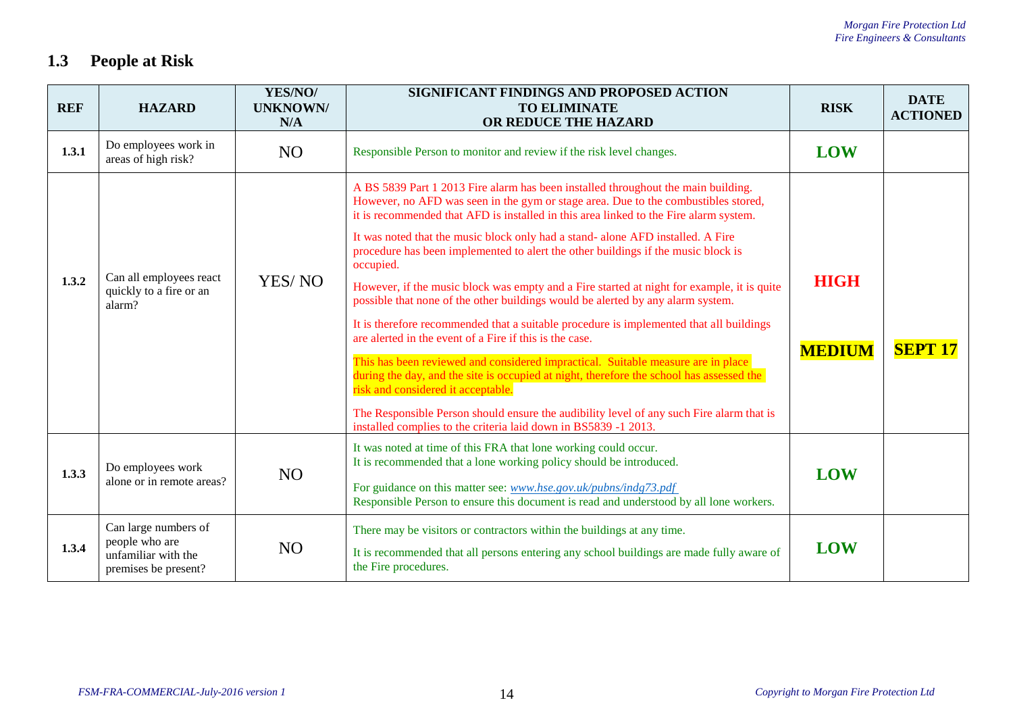### **1.3 People at Risk**

| <b>REF</b> | <b>HAZARD</b>                                                                         | YES/NO/<br><b>UNKNOWN/</b><br>N/A | <b>SIGNIFICANT FINDINGS AND PROPOSED ACTION</b><br><b>TO ELIMINATE</b><br>OR REDUCE THE HAZARD                                                                                                                                                                   | <b>RISK</b>   | <b>DATE</b><br><b>ACTIONED</b> |
|------------|---------------------------------------------------------------------------------------|-----------------------------------|------------------------------------------------------------------------------------------------------------------------------------------------------------------------------------------------------------------------------------------------------------------|---------------|--------------------------------|
| 1.3.1      | Do employees work in<br>areas of high risk?                                           | N <sub>O</sub>                    | Responsible Person to monitor and review if the risk level changes.                                                                                                                                                                                              | <b>LOW</b>    |                                |
|            |                                                                                       |                                   | A BS 5839 Part 1 2013 Fire alarm has been installed throughout the main building.<br>However, no AFD was seen in the gym or stage area. Due to the combustibles stored,<br>it is recommended that AFD is installed in this area linked to the Fire alarm system. |               |                                |
|            |                                                                                       | Can all employees react<br>YES/NO | It was noted that the music block only had a stand- alone AFD installed. A Fire<br>procedure has been implemented to alert the other buildings if the music block is<br>occupied.                                                                                |               |                                |
| 1.3.2      | quickly to a fire or an<br>alarm?                                                     |                                   | However, if the music block was empty and a Fire started at night for example, it is quite<br>possible that none of the other buildings would be alerted by any alarm system.                                                                                    | <b>HIGH</b>   |                                |
|            |                                                                                       |                                   | It is therefore recommended that a suitable procedure is implemented that all buildings<br>are alerted in the event of a Fire if this is the case.                                                                                                               | <b>MEDIUM</b> | <b>SEPT 17</b>                 |
|            |                                                                                       |                                   | This has been reviewed and considered impractical. Suitable measure are in place<br>during the day, and the site is occupied at night, therefore the school has assessed the<br>risk and considered it acceptable.                                               |               |                                |
|            |                                                                                       |                                   | The Responsible Person should ensure the audibility level of any such Fire alarm that is<br>installed complies to the criteria laid down in BS5839 -1 2013.                                                                                                      |               |                                |
| 1.3.3      | Do employees work<br>alone or in remote areas?                                        |                                   | It was noted at time of this FRA that lone working could occur.<br>It is recommended that a lone working policy should be introduced.                                                                                                                            | <b>LOW</b>    |                                |
|            |                                                                                       | N <sub>O</sub>                    | For guidance on this matter see: www.hse.gov.uk/pubns/indg73.pdf<br>Responsible Person to ensure this document is read and understood by all lone workers.                                                                                                       |               |                                |
| 1.3.4      | Can large numbers of<br>people who are<br>unfamiliar with the<br>premises be present? | NO                                | There may be visitors or contractors within the buildings at any time.<br>It is recommended that all persons entering any school buildings are made fully aware of<br>the Fire procedures.                                                                       | <b>LOW</b>    |                                |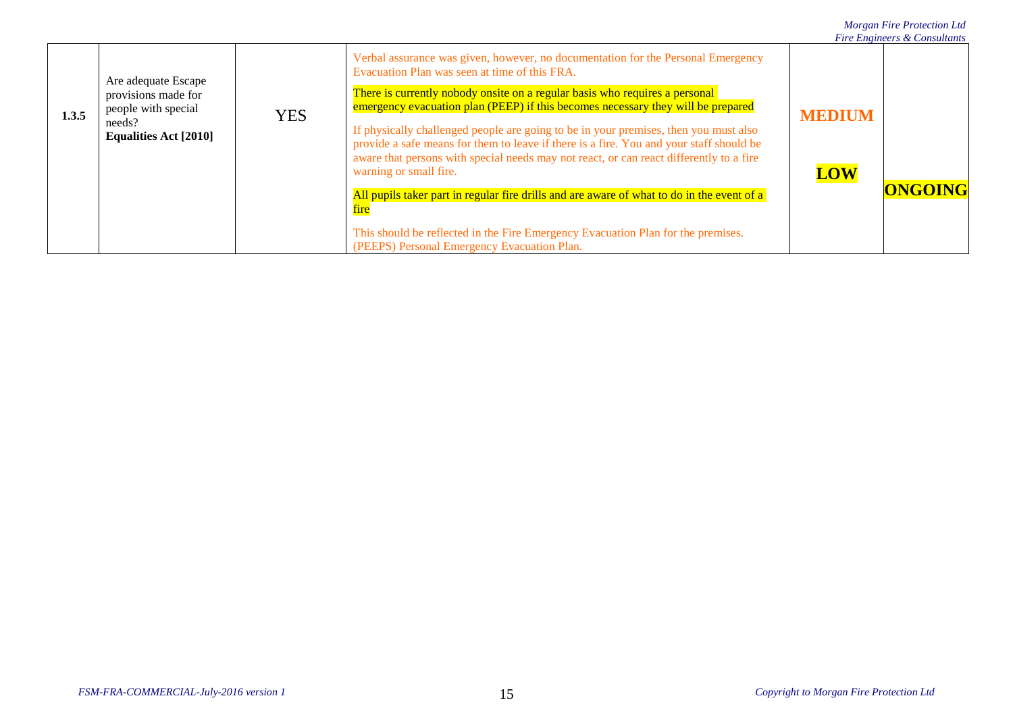#### *Morgan Fire Protection Ltd Fire Engineers & Consultants*

|       | Are adequate Escape                        |            | Verbal assurance was given, however, no documentation for the Personal Emergency<br>Evacuation Plan was seen at time of this FRA.                                               |               |                |
|-------|--------------------------------------------|------------|---------------------------------------------------------------------------------------------------------------------------------------------------------------------------------|---------------|----------------|
| 1.3.5 | provisions made for<br>people with special | <b>YES</b> | There is currently nobody onsite on a regular basis who requires a personal<br>emergency evacuation plan (PEEP) if this becomes necessary they will be prepared                 | <b>MEDIUM</b> |                |
|       | needs?<br><b>Equalities Act [2010]</b>     |            | If physically challenged people are going to be in your premises, then you must also<br>provide a safe means for them to leave if there is a fire. You and your staff should be |               |                |
|       |                                            |            | aware that persons with special needs may not react, or can react differently to a fire<br>warning or small fire.                                                               | <b>LOW</b>    |                |
|       |                                            |            | All pupils taker part in regular fire drills and are aware of what to do in the event of a<br>fire                                                                              |               | <b>ONGOING</b> |
|       |                                            |            | This should be reflected in the Fire Emergency Evacuation Plan for the premises.<br>(PEEPS) Personal Emergency Evacuation Plan.                                                 |               |                |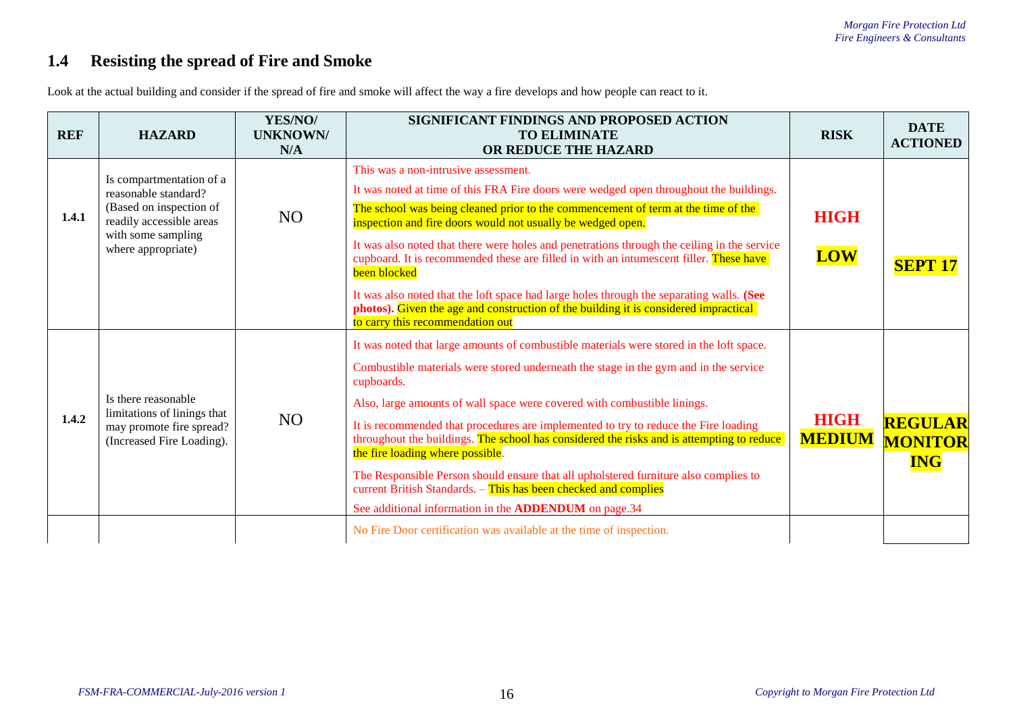### **1.4 Resisting the spread of Fire and Smoke**

Look at the actual building and consider if the spread of fire and smoke will affect the way a fire develops and how people can react to it.

| <b>REF</b> | <b>HAZARD</b>                                                                                                                                       | YES/NO/<br><b>UNKNOWN/</b><br>N/A | SIGNIFICANT FINDINGS AND PROPOSED ACTION<br><b>TO ELIMINATE</b><br>OR REDUCE THE HAZARD                                                                                                                                                                                                                                                                                                                                                                                                                                                                                                                                                                                                                                      | <b>RISK</b>                  | <b>DATE</b><br><b>ACTIONED</b>                 |
|------------|-----------------------------------------------------------------------------------------------------------------------------------------------------|-----------------------------------|------------------------------------------------------------------------------------------------------------------------------------------------------------------------------------------------------------------------------------------------------------------------------------------------------------------------------------------------------------------------------------------------------------------------------------------------------------------------------------------------------------------------------------------------------------------------------------------------------------------------------------------------------------------------------------------------------------------------------|------------------------------|------------------------------------------------|
| 1.4.1      | Is compartmentation of a<br>reasonable standard?<br>(Based on inspection of<br>readily accessible areas<br>with some sampling<br>where appropriate) | NO                                | This was a non-intrusive assessment.<br>It was noted at time of this FRA Fire doors were wedged open throughout the buildings.<br>The school was being cleaned prior to the commencement of term at the time of the<br>inspection and fire doors would not usually be wedged open.<br>It was also noted that there were holes and penetrations through the ceiling in the service<br>cupboard. It is recommended these are filled in with an intumescent filler. These have<br>been blocked                                                                                                                                                                                                                                  | <b>HIGH</b><br><b>LOW</b>    | <b>SEPT 17</b>                                 |
|            |                                                                                                                                                     |                                   | It was also noted that the loft space had large holes through the separating walls. (See<br>photos). Given the age and construction of the building it is considered impractical<br>to carry this recommendation out                                                                                                                                                                                                                                                                                                                                                                                                                                                                                                         |                              |                                                |
| 1.4.2      | Is there reasonable<br>limitations of linings that<br>may promote fire spread?<br>(Increased Fire Loading).                                         | NO                                | It was noted that large amounts of combustible materials were stored in the loft space.<br>Combustible materials were stored underneath the stage in the gym and in the service<br>cupboards.<br>Also, large amounts of wall space were covered with combustible linings.<br>It is recommended that procedures are implemented to try to reduce the Fire loading<br>throughout the buildings. The school has considered the risks and is attempting to reduce<br>the fire loading where possible.<br>The Responsible Person should ensure that all upholstered furniture also complies to<br>current British Standards. - This has been checked and complies<br>See additional information in the <b>ADDENDUM</b> on page.34 | <b>HIGH</b><br><b>MEDIUM</b> | <b>REGULAR</b><br><b>MONITOR</b><br><b>ING</b> |
|            |                                                                                                                                                     |                                   | No Fire Door certification was available at the time of inspection.                                                                                                                                                                                                                                                                                                                                                                                                                                                                                                                                                                                                                                                          |                              |                                                |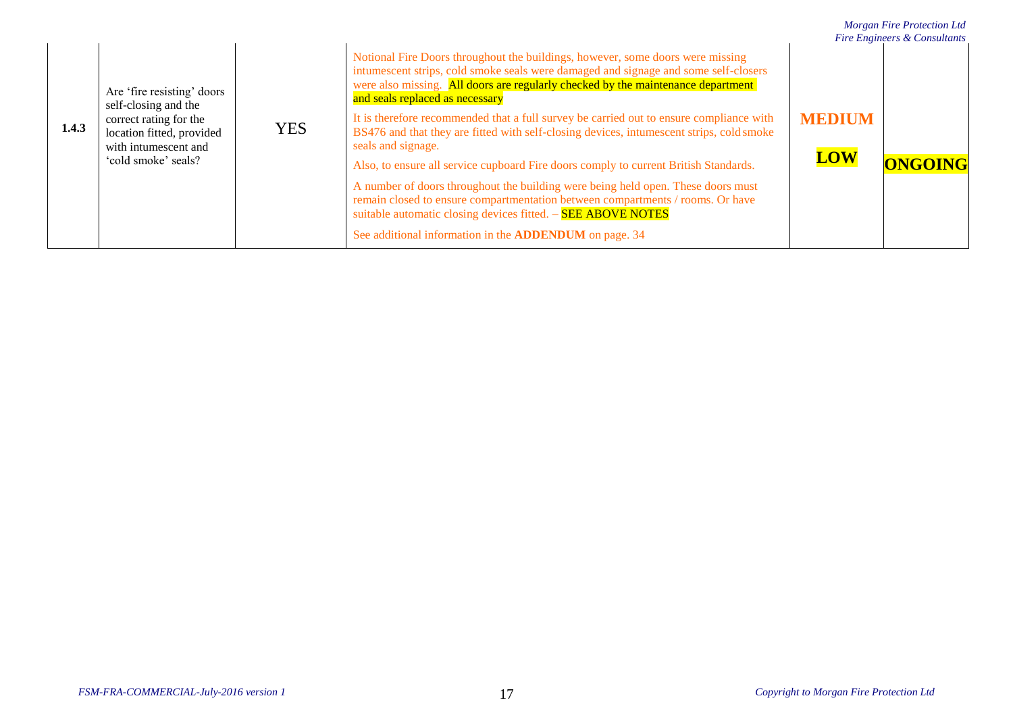|       |                                                                                                                                                          |            |                                                                                                                                                                                                                                                                                                                                                                                                                                                                                                                                                                                                                                                                                                                                                                                                                                                                                                                   |                             | <b>Morgan Fire Protection Ltd</b><br><b>Fire Engineers &amp; Consultants</b> |
|-------|----------------------------------------------------------------------------------------------------------------------------------------------------------|------------|-------------------------------------------------------------------------------------------------------------------------------------------------------------------------------------------------------------------------------------------------------------------------------------------------------------------------------------------------------------------------------------------------------------------------------------------------------------------------------------------------------------------------------------------------------------------------------------------------------------------------------------------------------------------------------------------------------------------------------------------------------------------------------------------------------------------------------------------------------------------------------------------------------------------|-----------------------------|------------------------------------------------------------------------------|
| 1.4.3 | Are 'fire resisting' doors<br>self-closing and the<br>correct rating for the<br>location fitted, provided<br>with intumescent and<br>'cold smoke' seals? | <b>YES</b> | Notional Fire Doors throughout the buildings, however, some doors were missing<br>intumescent strips, cold smoke seals were damaged and signage and some self-closers<br>were also missing. All doors are regularly checked by the maintenance department<br>and seals replaced as necessary<br>It is therefore recommended that a full survey be carried out to ensure compliance with<br>BS476 and that they are fitted with self-closing devices, intumescent strips, cold smoke<br>seals and signage.<br>Also, to ensure all service cupboard Fire doors comply to current British Standards.<br>A number of doors throughout the building were being held open. These doors must<br>remain closed to ensure compartmentation between compartments / rooms. Or have<br>suitable automatic closing devices fitted. $-$ <b>SEE ABOVE NOTES</b><br>See additional information in the <b>ADDENDUM</b> on page. 34 | <b>MEDIUM</b><br><b>LOW</b> | <b>ONGOING</b>                                                               |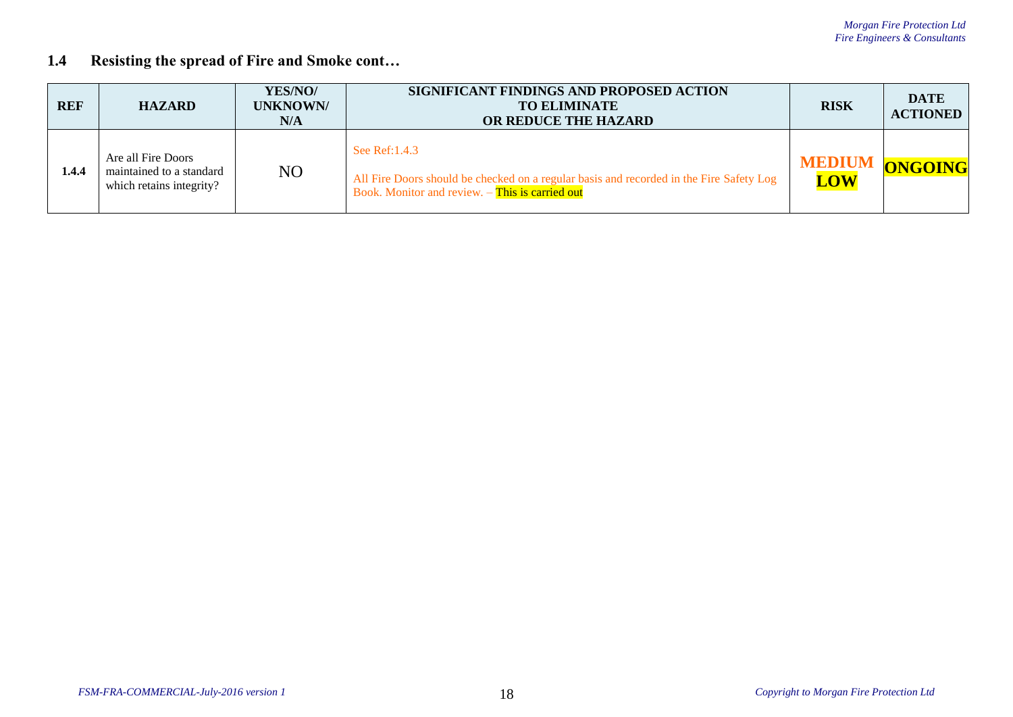### **1.4 Resisting the spread of Fire and Smoke cont…**

| <b>REF</b> | <b>HAZARD</b>                                                              | YES/NO/<br>UNKNOWN/<br>N/A | SIGNIFICANT FINDINGS AND PROPOSED ACTION<br><b>TO ELIMINATE</b><br>OR REDUCE THE HAZARD                                                                          | <b>RISK</b>                 | <b>DATE</b><br><b>ACTIONED</b> |
|------------|----------------------------------------------------------------------------|----------------------------|------------------------------------------------------------------------------------------------------------------------------------------------------------------|-----------------------------|--------------------------------|
| 1.4.4      | Are all Fire Doors<br>maintained to a standard<br>which retains integrity? | NO                         | See Ref: $1.4.3$<br>All Fire Doors should be checked on a regular basis and recorded in the Fire Safety Log<br>Book. Monitor and review. $-$ This is carried out | <b>MEDIUM</b><br><b>LOW</b> | <b>ONGOING</b>                 |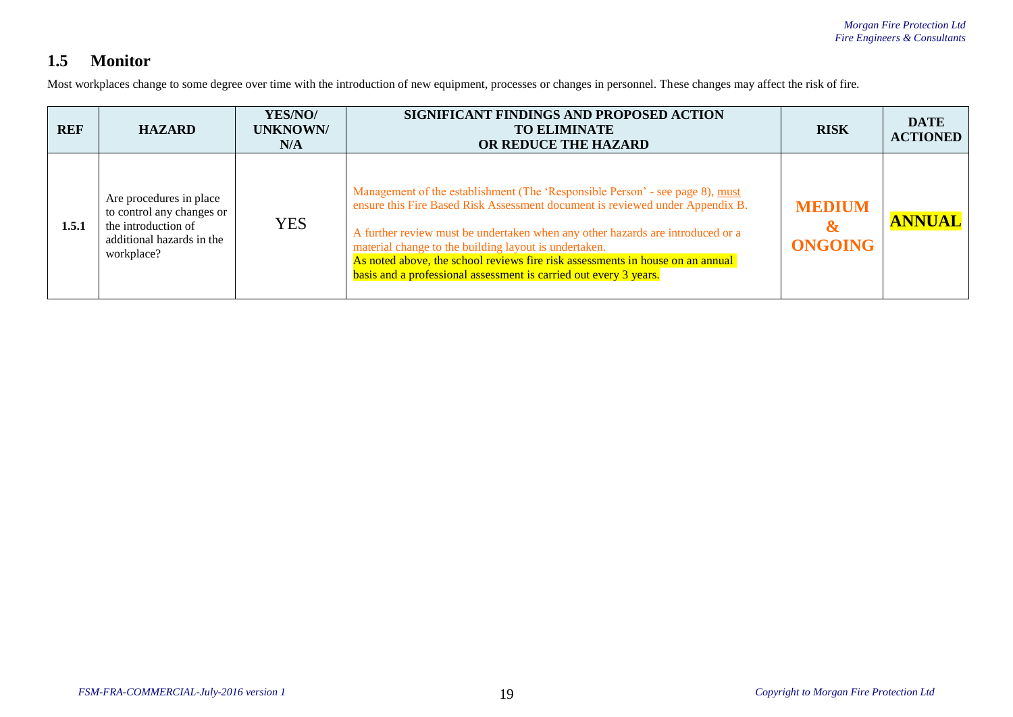### **1.5 Monitor**

Most workplaces change to some degree over time with the introduction of new equipment, processes or changes in personnel. These changes may affect the risk of fire.

| <b>REF</b> | <b>HAZARD</b>                                                                                                          | YES/NO/<br><b>UNKNOWN/</b><br>N/A | SIGNIFICANT FINDINGS AND PROPOSED ACTION<br><b>TO ELIMINATE</b><br>OR REDUCE THE HAZARD                                                                                                                                                                                                                                                                                                                                                                          | <b>RISK</b>                          | <b>DATE</b><br><b>ACTIONED</b> |
|------------|------------------------------------------------------------------------------------------------------------------------|-----------------------------------|------------------------------------------------------------------------------------------------------------------------------------------------------------------------------------------------------------------------------------------------------------------------------------------------------------------------------------------------------------------------------------------------------------------------------------------------------------------|--------------------------------------|--------------------------------|
| 1.5.1      | Are procedures in place<br>to control any changes or<br>the introduction of<br>additional hazards in the<br>workplace? | <b>YES</b>                        | Management of the establishment (The 'Responsible Person' - see page 8), must<br>ensure this Fire Based Risk Assessment document is reviewed under Appendix B.<br>A further review must be undertaken when any other hazards are introduced or a<br>material change to the building layout is undertaken.<br>As noted above, the school reviews fire risk assessments in house on an annual<br>basis and a professional assessment is carried out every 3 years. | <b>MEDIUM</b><br>&<br><b>ONGOING</b> | <b>ANNUAL</b>                  |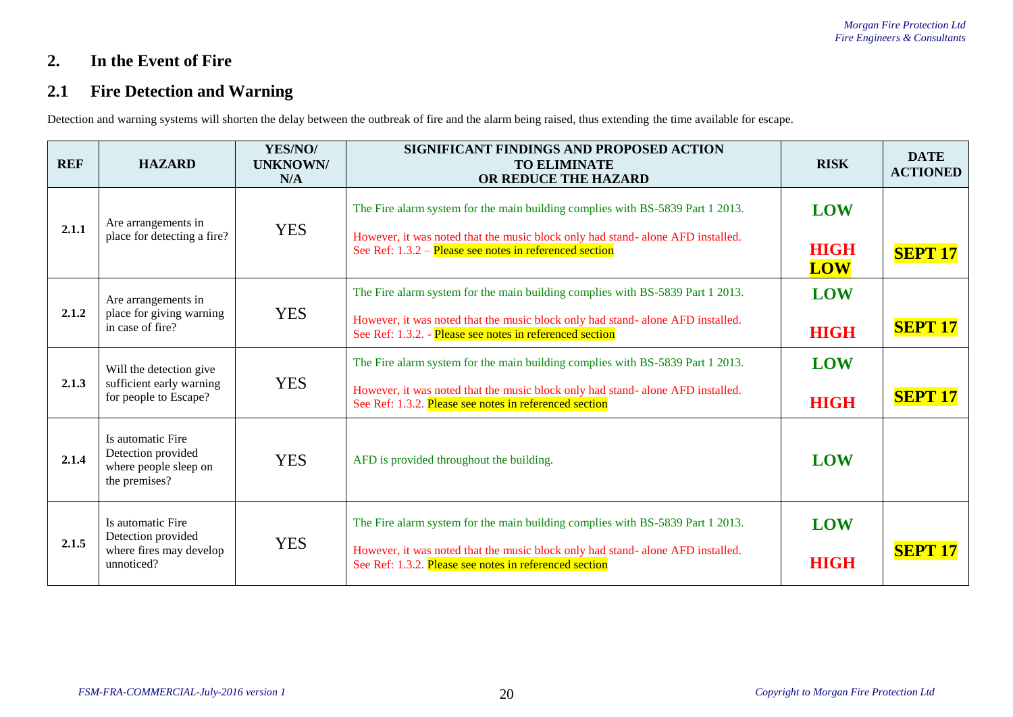### **2. In the Event of Fire**

### **2.1 Fire Detection and Warning**

Detection and warning systems will shorten the delay between the outbreak of fire and the alarm being raised, thus extending the time available for escape.

| <b>REF</b> | <b>HAZARD</b>                                                                     | YES/NO/<br><b>UNKNOWN/</b><br>N/A | SIGNIFICANT FINDINGS AND PROPOSED ACTION<br><b>TO ELIMINATE</b><br>OR REDUCE THE HAZARD                                                      | <b>RISK</b>               | <b>DATE</b><br><b>ACTIONED</b> |
|------------|-----------------------------------------------------------------------------------|-----------------------------------|----------------------------------------------------------------------------------------------------------------------------------------------|---------------------------|--------------------------------|
| 2.1.1      | Are arrangements in                                                               | <b>YES</b>                        | The Fire alarm system for the main building complies with BS-5839 Part 1 2013.                                                               | <b>LOW</b>                |                                |
|            | place for detecting a fire?                                                       |                                   | However, it was noted that the music block only had stand- alone AFD installed.<br>See Ref: $1.3.2 -$ Please see notes in referenced section | <b>HIGH</b><br><b>LOW</b> | <b>SEPT 17</b>                 |
|            | Are arrangements in                                                               |                                   | The Fire alarm system for the main building complies with BS-5839 Part 1 2013.                                                               | <b>LOW</b>                |                                |
| 2.1.2      | place for giving warning<br>in case of fire?                                      | <b>YES</b>                        | However, it was noted that the music block only had stand- alone AFD installed.<br>See Ref: 1.3.2. - Please see notes in referenced section  | <b>HIGH</b>               | <b>SEPT 17</b>                 |
|            | Will the detection give<br>sufficient early warning<br>for people to Escape?      |                                   | The Fire alarm system for the main building complies with BS-5839 Part 1 2013.                                                               | <b>LOW</b>                |                                |
| 2.1.3      |                                                                                   | <b>YES</b>                        | However, it was noted that the music block only had stand- alone AFD installed.<br>See Ref: 1.3.2. Please see notes in referenced section    | <b>HIGH</b>               | <b>SEPT 17</b>                 |
| 2.1.4      | Is automatic Fire<br>Detection provided<br>where people sleep on<br>the premises? | <b>YES</b>                        | AFD is provided throughout the building.                                                                                                     | <b>LOW</b>                |                                |
|            | Is automatic Fire                                                                 |                                   | The Fire alarm system for the main building complies with BS-5839 Part 1 2013.                                                               | <b>LOW</b>                |                                |
| 2.1.5      | Detection provided<br>where fires may develop<br>unnoticed?                       | <b>YES</b>                        | However, it was noted that the music block only had stand- alone AFD installed.<br>See Ref: 1.3.2. Please see notes in referenced section    | <b>HIGH</b>               | <b>SEPT 17</b>                 |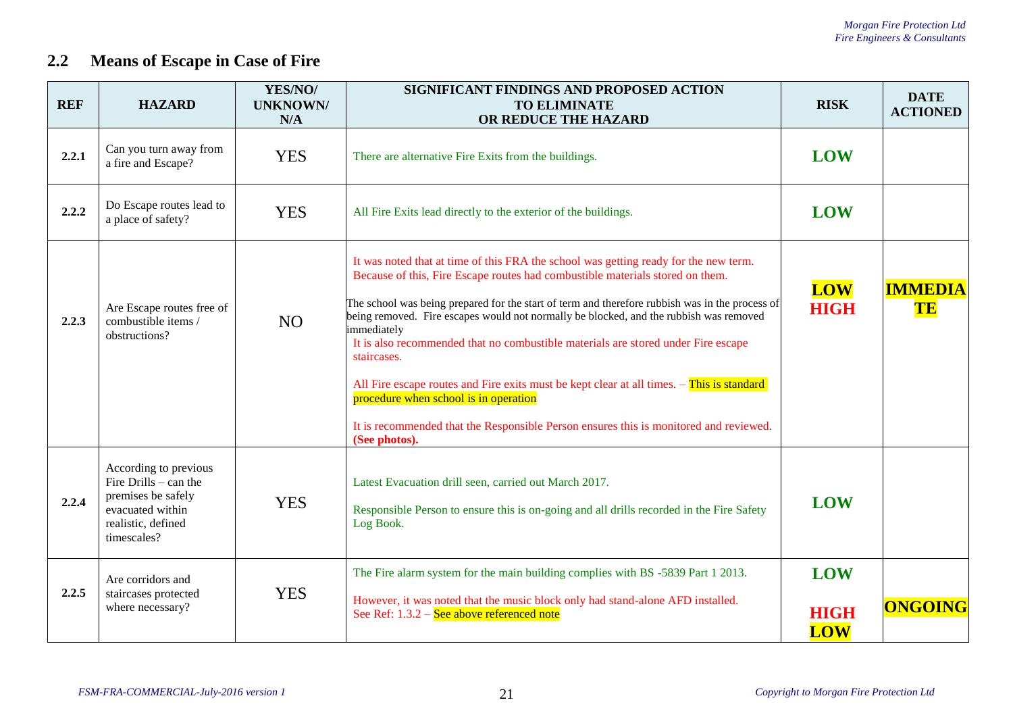## **2.2 Means of Escape in Case of Fire**

| <b>REF</b> | <b>HAZARD</b>                                                                                                                 | YES/NO/<br><b>UNKNOWN/</b><br>N/A | SIGNIFICANT FINDINGS AND PROPOSED ACTION<br><b>TO ELIMINATE</b><br>OR REDUCE THE HAZARD                                                                                                                                                                                                                                                                                                                                                                                                                                                                                                                                                                                                                              | <b>RISK</b>                             | <b>DATE</b><br><b>ACTIONED</b> |
|------------|-------------------------------------------------------------------------------------------------------------------------------|-----------------------------------|----------------------------------------------------------------------------------------------------------------------------------------------------------------------------------------------------------------------------------------------------------------------------------------------------------------------------------------------------------------------------------------------------------------------------------------------------------------------------------------------------------------------------------------------------------------------------------------------------------------------------------------------------------------------------------------------------------------------|-----------------------------------------|--------------------------------|
| 2.2.1      | Can you turn away from<br>a fire and Escape?                                                                                  | <b>YES</b>                        | There are alternative Fire Exits from the buildings.                                                                                                                                                                                                                                                                                                                                                                                                                                                                                                                                                                                                                                                                 | <b>LOW</b>                              |                                |
| 2.2.2      | Do Escape routes lead to<br>a place of safety?                                                                                | <b>YES</b>                        | All Fire Exits lead directly to the exterior of the buildings.                                                                                                                                                                                                                                                                                                                                                                                                                                                                                                                                                                                                                                                       | <b>LOW</b>                              |                                |
| 2.2.3      | Are Escape routes free of<br>combustible items /<br>obstructions?                                                             | N <sub>O</sub>                    | It was noted that at time of this FRA the school was getting ready for the new term.<br>Because of this, Fire Escape routes had combustible materials stored on them.<br>The school was being prepared for the start of term and therefore rubbish was in the process of<br>being removed. Fire escapes would not normally be blocked, and the rubbish was removed<br>immediately<br>It is also recommended that no combustible materials are stored under Fire escape<br>staircases.<br>All Fire escape routes and Fire exits must be kept clear at all times. - This is standard<br>procedure when school is in operation<br>It is recommended that the Responsible Person ensures this is monitored and reviewed. | <b>LOW</b><br><b>HIGH</b>               | <b>IMMEDIA</b><br><b>TE</b>    |
| 2.2.4      | According to previous<br>Fire Drills – can the<br>premises be safely<br>evacuated within<br>realistic, defined<br>timescales? | <b>YES</b>                        | (See photos).<br>Latest Evacuation drill seen, carried out March 2017.<br>Responsible Person to ensure this is on-going and all drills recorded in the Fire Safety<br>Log Book.                                                                                                                                                                                                                                                                                                                                                                                                                                                                                                                                      | <b>LOW</b>                              |                                |
| 2.2.5      | Are corridors and<br>staircases protected<br>where necessary?                                                                 | <b>YES</b>                        | The Fire alarm system for the main building complies with BS -5839 Part 1 2013.<br>However, it was noted that the music block only had stand-alone AFD installed.<br>See Ref: $1.3.2 -$ See above referenced note                                                                                                                                                                                                                                                                                                                                                                                                                                                                                                    | <b>LOW</b><br><b>HIGH</b><br><b>LOW</b> | <b>ONGOING</b>                 |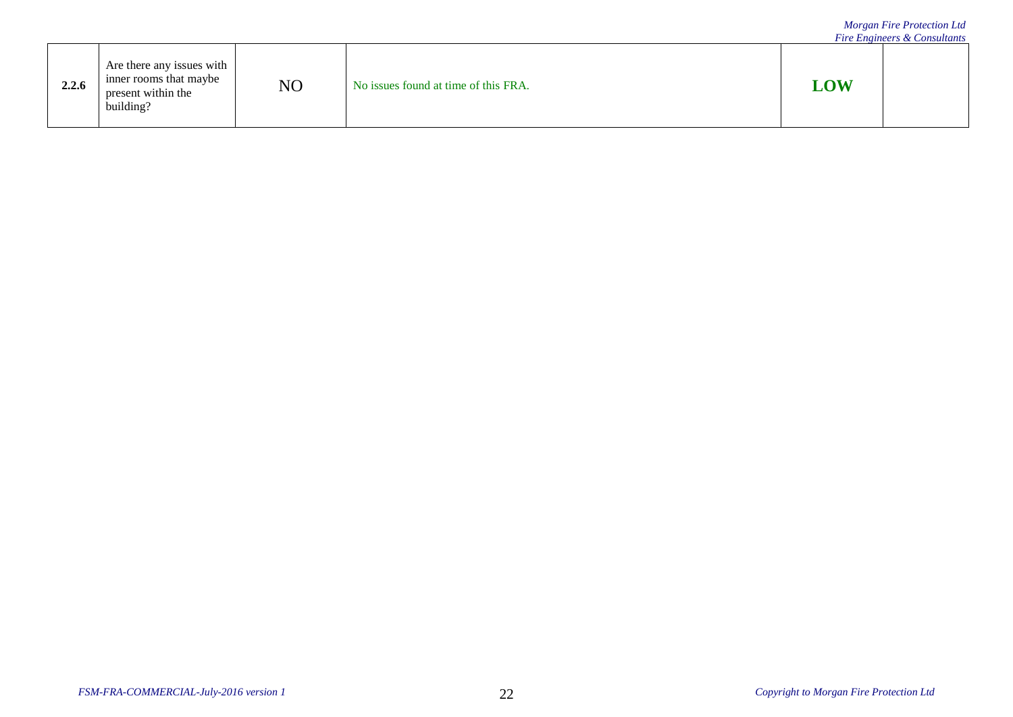#### *Morgan Fire Protection Ltd Fire Engineers & Consultants*

| 2.2.6 | Are there any issues with  <br>inner rooms that maybe<br>present within the<br>building? | NO | No issues found at time of this FRA. | <b>LOW</b> |  |
|-------|------------------------------------------------------------------------------------------|----|--------------------------------------|------------|--|
|-------|------------------------------------------------------------------------------------------|----|--------------------------------------|------------|--|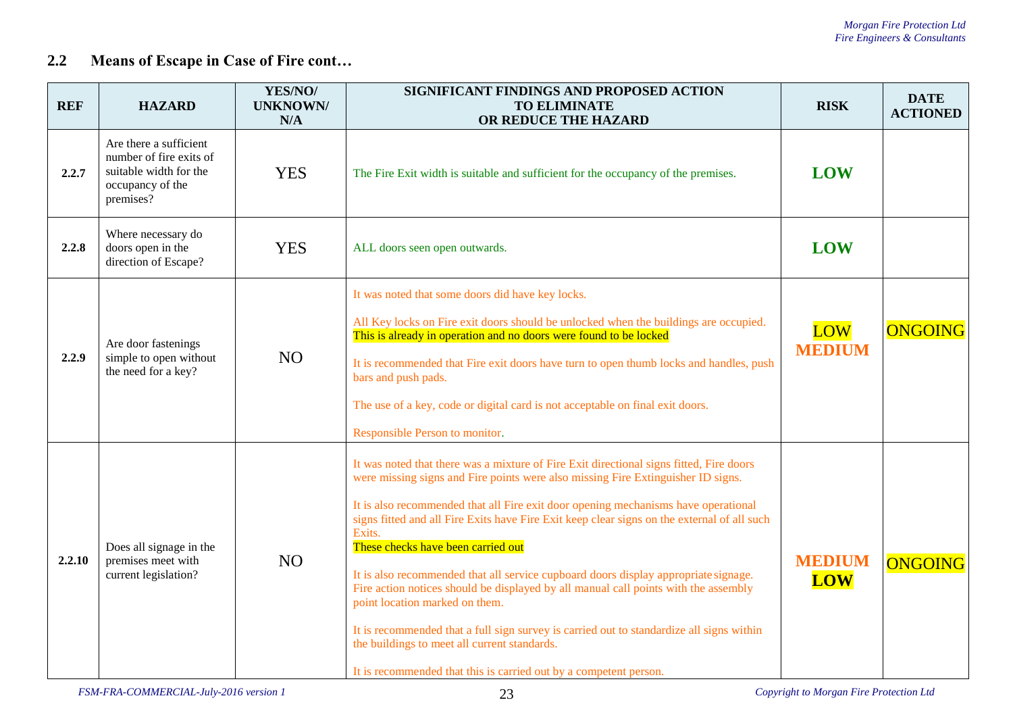### **2.2 Means of Escape in Case of Fire cont…**

| <b>REF</b> | <b>HAZARD</b>                                                                                                | YES/NO/<br><b>UNKNOWN/</b><br>N/A | SIGNIFICANT FINDINGS AND PROPOSED ACTION<br><b>TO ELIMINATE</b><br>OR REDUCE THE HAZARD                                                                                                                                                                                                                                                                                                                                                                                                                                                                                                                                                                                                                                                                                                                                                           | <b>RISK</b>                 | <b>DATE</b><br><b>ACTIONED</b> |
|------------|--------------------------------------------------------------------------------------------------------------|-----------------------------------|---------------------------------------------------------------------------------------------------------------------------------------------------------------------------------------------------------------------------------------------------------------------------------------------------------------------------------------------------------------------------------------------------------------------------------------------------------------------------------------------------------------------------------------------------------------------------------------------------------------------------------------------------------------------------------------------------------------------------------------------------------------------------------------------------------------------------------------------------|-----------------------------|--------------------------------|
| 2.2.7      | Are there a sufficient<br>number of fire exits of<br>suitable width for the<br>occupancy of the<br>premises? | <b>YES</b>                        | The Fire Exit width is suitable and sufficient for the occupancy of the premises.                                                                                                                                                                                                                                                                                                                                                                                                                                                                                                                                                                                                                                                                                                                                                                 | <b>LOW</b>                  |                                |
| 2.2.8      | Where necessary do<br>doors open in the<br>direction of Escape?                                              | <b>YES</b>                        | ALL doors seen open outwards.                                                                                                                                                                                                                                                                                                                                                                                                                                                                                                                                                                                                                                                                                                                                                                                                                     | <b>LOW</b>                  |                                |
| 2.2.9      | Are door fastenings<br>simple to open without<br>the need for a key?                                         | N <sub>O</sub>                    | It was noted that some doors did have key locks.<br>All Key locks on Fire exit doors should be unlocked when the buildings are occupied.<br>This is already in operation and no doors were found to be locked<br>It is recommended that Fire exit doors have turn to open thumb locks and handles, push<br>bars and push pads.<br>The use of a key, code or digital card is not acceptable on final exit doors.<br>Responsible Person to monitor.                                                                                                                                                                                                                                                                                                                                                                                                 | <b>LOW</b><br><b>MEDIUM</b> | ONGOING                        |
| 2.2.10     | Does all signage in the<br>premises meet with<br>current legislation?                                        | NO <sub>1</sub>                   | It was noted that there was a mixture of Fire Exit directional signs fitted, Fire doors<br>were missing signs and Fire points were also missing Fire Extinguisher ID signs.<br>It is also recommended that all Fire exit door opening mechanisms have operational<br>signs fitted and all Fire Exits have Fire Exit keep clear signs on the external of all such<br>Exits.<br>These checks have been carried out<br>It is also recommended that all service cupboard doors display appropriate signage.<br>Fire action notices should be displayed by all manual call points with the assembly<br>point location marked on them.<br>It is recommended that a full sign survey is carried out to standardize all signs within<br>the buildings to meet all current standards.<br>It is recommended that this is carried out by a competent person. | <b>MEDIUM</b><br><b>LOW</b> | <b>ONGOING</b>                 |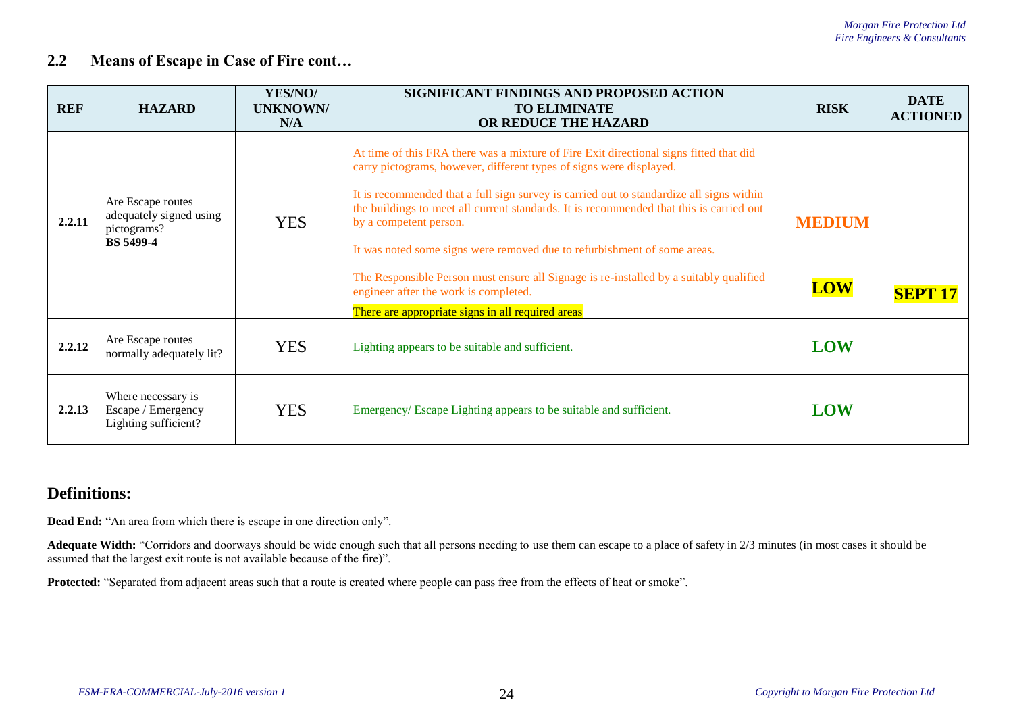### **2.2 Means of Escape in Case of Fire cont…**

| <b>REF</b> | <b>HAZARD</b>                                                                   | YES/NO/<br><b>UNKNOWN/</b><br>N/A | SIGNIFICANT FINDINGS AND PROPOSED ACTION<br><b>TO ELIMINATE</b><br>OR REDUCE THE HAZARD                                                                                                                                                                                                                                                                                                                                                                                                                                                                                                                                                            | <b>RISK</b>                 | <b>DATE</b><br><b>ACTIONED</b> |
|------------|---------------------------------------------------------------------------------|-----------------------------------|----------------------------------------------------------------------------------------------------------------------------------------------------------------------------------------------------------------------------------------------------------------------------------------------------------------------------------------------------------------------------------------------------------------------------------------------------------------------------------------------------------------------------------------------------------------------------------------------------------------------------------------------------|-----------------------------|--------------------------------|
| 2.2.11     | Are Escape routes<br>adequately signed using<br>pictograms?<br><b>BS 5499-4</b> | <b>YES</b>                        | At time of this FRA there was a mixture of Fire Exit directional signs fitted that did<br>carry pictograms, however, different types of signs were displayed.<br>It is recommended that a full sign survey is carried out to standardize all signs within<br>the buildings to meet all current standards. It is recommended that this is carried out<br>by a competent person.<br>It was noted some signs were removed due to refurbishment of some areas.<br>The Responsible Person must ensure all Signage is re-installed by a suitably qualified<br>engineer after the work is completed.<br>There are appropriate signs in all required areas | <b>MEDIUM</b><br><b>LOW</b> | <b>SEPT 17</b>                 |
| 2.2.12     | Are Escape routes<br>normally adequately lit?                                   | <b>YES</b>                        | Lighting appears to be suitable and sufficient.                                                                                                                                                                                                                                                                                                                                                                                                                                                                                                                                                                                                    | <b>LOW</b>                  |                                |
| 2.2.13     | Where necessary is<br>Escape / Emergency<br>Lighting sufficient?                | <b>YES</b>                        | Emergency/Escape Lighting appears to be suitable and sufficient.                                                                                                                                                                                                                                                                                                                                                                                                                                                                                                                                                                                   | <b>LOW</b>                  |                                |

### **Definitions:**

**Dead End:** "An area from which there is escape in one direction only".

Adequate Width: "Corridors and doorways should be wide enough such that all persons needing to use them can escape to a place of safety in 2/3 minutes (in most cases it should be assumed that the largest exit route is not available because of the fire)".

**Protected:** "Separated from adjacent areas such that a route is created where people can pass free from the effects of heat or smoke".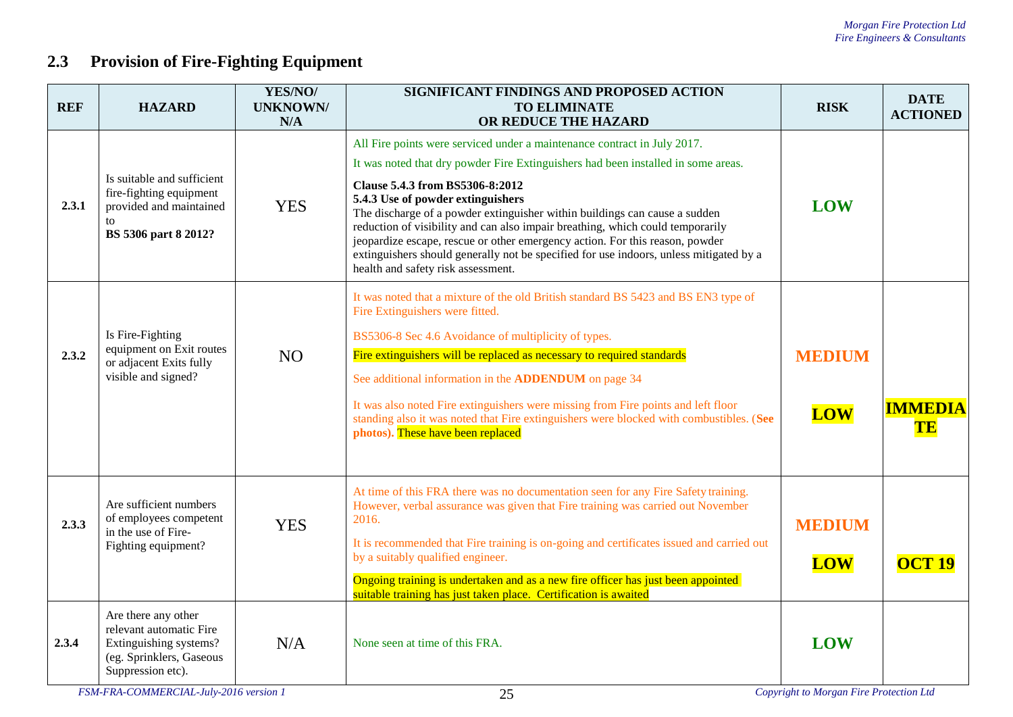### **2.3 Provision of Fire-Fighting Equipment**

| <b>REF</b> | <b>HAZARD</b>                                                                                                             | YES/NO/<br><b>UNKNOWN/</b><br>N/A | <b>SIGNIFICANT FINDINGS AND PROPOSED ACTION</b><br><b>TO ELIMINATE</b><br>OR REDUCE THE HAZARD                                                                                                                                                                                                                                                                                                                                                                                                                                                                                                                        | <b>RISK</b>                 | <b>DATE</b><br><b>ACTIONED</b> |
|------------|---------------------------------------------------------------------------------------------------------------------------|-----------------------------------|-----------------------------------------------------------------------------------------------------------------------------------------------------------------------------------------------------------------------------------------------------------------------------------------------------------------------------------------------------------------------------------------------------------------------------------------------------------------------------------------------------------------------------------------------------------------------------------------------------------------------|-----------------------------|--------------------------------|
| 2.3.1      | Is suitable and sufficient<br>fire-fighting equipment<br>provided and maintained<br>to<br>BS 5306 part 8 2012?            | <b>YES</b>                        | All Fire points were serviced under a maintenance contract in July 2017.<br>It was noted that dry powder Fire Extinguishers had been installed in some areas.<br>Clause 5.4.3 from BS5306-8:2012<br>5.4.3 Use of powder extinguishers<br>The discharge of a powder extinguisher within buildings can cause a sudden<br>reduction of visibility and can also impair breathing, which could temporarily<br>jeopardize escape, rescue or other emergency action. For this reason, powder<br>extinguishers should generally not be specified for use indoors, unless mitigated by a<br>health and safety risk assessment. | <b>LOW</b>                  |                                |
| 2.3.2      | Is Fire-Fighting<br>equipment on Exit routes<br>or adjacent Exits fully<br>visible and signed?                            | NO <sub>1</sub>                   | It was noted that a mixture of the old British standard BS 5423 and BS EN3 type of<br>Fire Extinguishers were fitted.<br>BS5306-8 Sec 4.6 Avoidance of multiplicity of types.<br>Fire extinguishers will be replaced as necessary to required standards<br>See additional information in the <b>ADDENDUM</b> on page 34<br>It was also noted Fire extinguishers were missing from Fire points and left floor<br>standing also it was noted that Fire extinguishers were blocked with combustibles. (See<br>photos). These have been replaced                                                                          | <b>MEDIUM</b><br><b>LOW</b> | <b>IMMEDIA</b><br>TE           |
| 2.3.3      | Are sufficient numbers<br>of employees competent<br>in the use of Fire-<br>Fighting equipment?                            | <b>YES</b>                        | At time of this FRA there was no documentation seen for any Fire Safety training.<br>However, verbal assurance was given that Fire training was carried out November<br>2016.<br>It is recommended that Fire training is on-going and certificates issued and carried out<br>by a suitably qualified engineer.<br>Ongoing training is undertaken and as a new fire officer has just been appointed<br>suitable training has just taken place. Certification is awaited                                                                                                                                                | <b>MEDIUM</b><br><b>LOW</b> | <b>OCT 19</b>                  |
| 2.3.4      | Are there any other<br>relevant automatic Fire<br>Extinguishing systems?<br>(eg. Sprinklers, Gaseous<br>Suppression etc). | N/A                               | None seen at time of this FRA.                                                                                                                                                                                                                                                                                                                                                                                                                                                                                                                                                                                        | LOW                         |                                |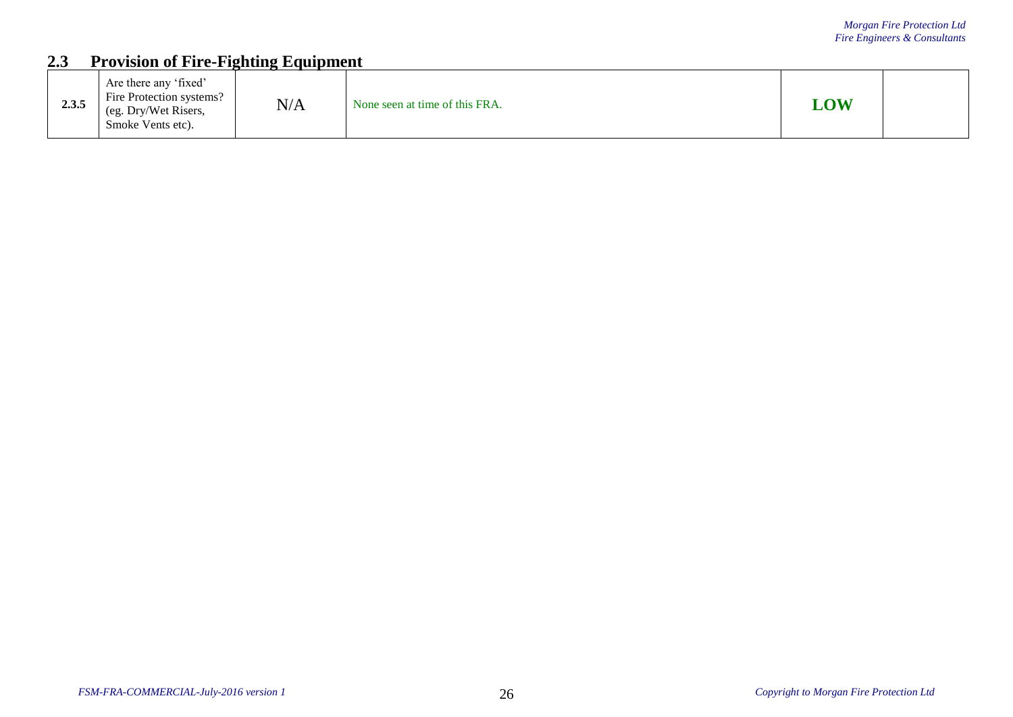#### *Morgan Fire Protection Ltd Fire Engineers & Consultants*

### **2.3 Provision of Fire-Fighting Equipment**

| 2.3.5 | Are there any 'fixed'<br>Fire Protection systems?<br>(eg. Dry/Wet Risers,<br>Smoke Vents etc). | N/A | None seen at time of this FRA. | <b>LOW</b> |  |
|-------|------------------------------------------------------------------------------------------------|-----|--------------------------------|------------|--|
|-------|------------------------------------------------------------------------------------------------|-----|--------------------------------|------------|--|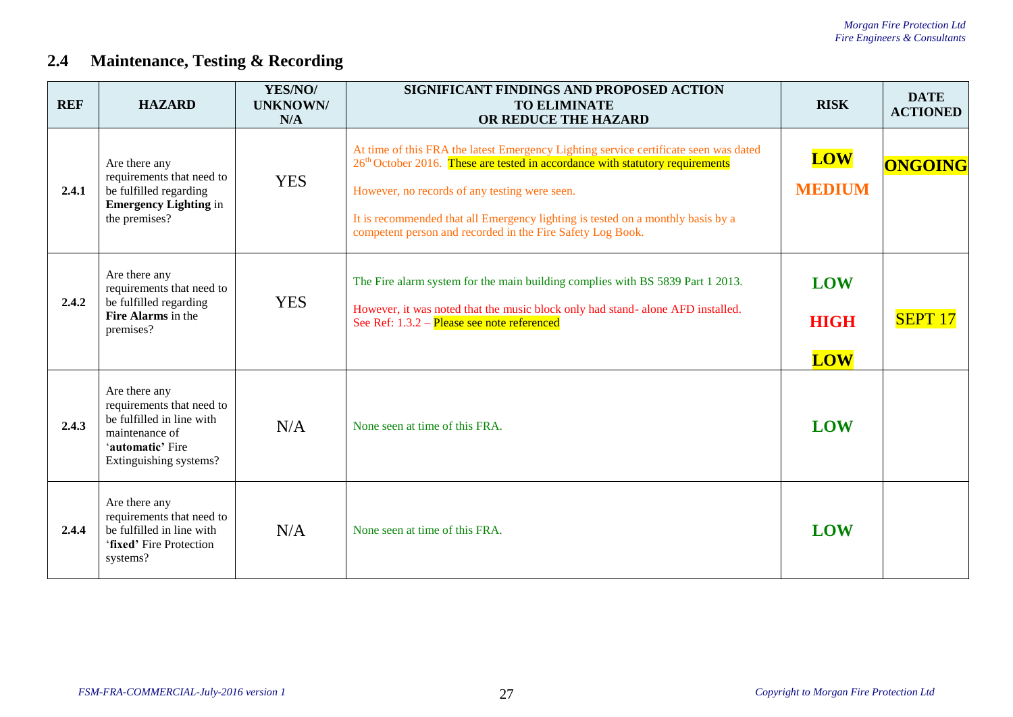### **2.4 Maintenance, Testing & Recording**

| <b>REF</b> | <b>HAZARD</b>                                                                                                                           | YES/NO/<br><b>UNKNOWN/</b><br>N/A | SIGNIFICANT FINDINGS AND PROPOSED ACTION<br><b>TO ELIMINATE</b><br>OR REDUCE THE HAZARD                                                                                                                                                                                                                                                                                             | <b>RISK</b>                             | <b>DATE</b><br><b>ACTIONED</b> |
|------------|-----------------------------------------------------------------------------------------------------------------------------------------|-----------------------------------|-------------------------------------------------------------------------------------------------------------------------------------------------------------------------------------------------------------------------------------------------------------------------------------------------------------------------------------------------------------------------------------|-----------------------------------------|--------------------------------|
| 2.4.1      | Are there any<br>requirements that need to<br>be fulfilled regarding<br><b>Emergency Lighting in</b><br>the premises?                   | <b>YES</b>                        | At time of this FRA the latest Emergency Lighting service certificate seen was dated<br>26 <sup>th</sup> October 2016. These are tested in accordance with statutory requirements<br>However, no records of any testing were seen.<br>It is recommended that all Emergency lighting is tested on a monthly basis by a<br>competent person and recorded in the Fire Safety Log Book. | <b>LOW</b><br><b>MEDIUM</b>             | <b>ONGOING</b>                 |
| 2.4.2      | Are there any<br>requirements that need to<br>be fulfilled regarding<br>Fire Alarms in the<br>premises?                                 | <b>YES</b>                        | The Fire alarm system for the main building complies with BS 5839 Part 1 2013.<br>However, it was noted that the music block only had stand- alone AFD installed.<br>See Ref: $1.3.2 -$ Please see note referenced                                                                                                                                                                  | <b>LOW</b><br><b>HIGH</b><br><b>LOW</b> | <b>SEPT 17</b>                 |
| 2.4.3      | Are there any<br>requirements that need to<br>be fulfilled in line with<br>maintenance of<br>'automatic' Fire<br>Extinguishing systems? | N/A                               | None seen at time of this FRA.                                                                                                                                                                                                                                                                                                                                                      | <b>LOW</b>                              |                                |
| 2.4.4      | Are there any<br>requirements that need to<br>be fulfilled in line with<br>'fixed' Fire Protection<br>systems?                          | N/A                               | None seen at time of this FRA.                                                                                                                                                                                                                                                                                                                                                      | <b>LOW</b>                              |                                |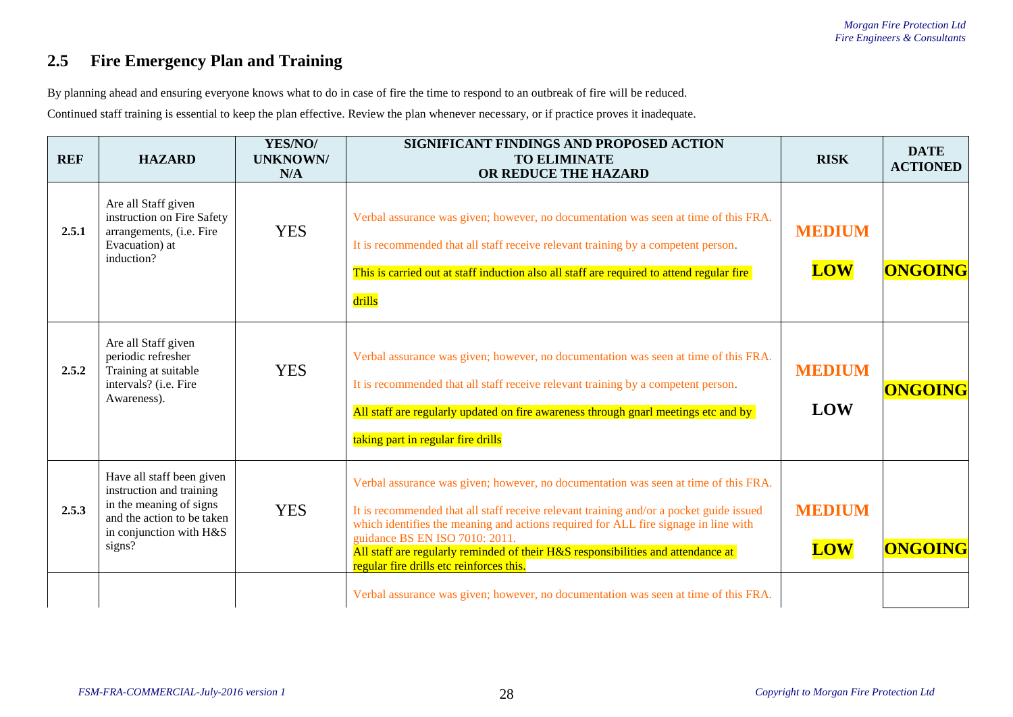### **2.5 Fire Emergency Plan and Training**

By planning ahead and ensuring everyone knows what to do in case of fire the time to respond to an outbreak of fire will be reduced.

Continued staff training is essential to keep the plan effective. Review the plan whenever necessary, or if practice proves it inadequate.

| <b>REF</b> | <b>HAZARD</b>                                                                                                                                       | YES/NO/<br><b>UNKNOWN/</b><br>N/A | <b>SIGNIFICANT FINDINGS AND PROPOSED ACTION</b><br><b>TO ELIMINATE</b><br>OR REDUCE THE HAZARD                                                                                                                                                                                                                                                                                                                                          | <b>RISK</b>                 | <b>DATE</b><br><b>ACTIONED</b> |
|------------|-----------------------------------------------------------------------------------------------------------------------------------------------------|-----------------------------------|-----------------------------------------------------------------------------------------------------------------------------------------------------------------------------------------------------------------------------------------------------------------------------------------------------------------------------------------------------------------------------------------------------------------------------------------|-----------------------------|--------------------------------|
| 2.5.1      | Are all Staff given<br>instruction on Fire Safety<br>arrangements, (i.e. Fire<br>Evacuation) at<br>induction?                                       | <b>YES</b>                        | Verbal assurance was given; however, no documentation was seen at time of this FRA.<br>It is recommended that all staff receive relevant training by a competent person.<br>This is carried out at staff induction also all staff are required to attend regular fire<br>drills                                                                                                                                                         | <b>MEDIUM</b><br><b>LOW</b> | <b>ONGOING</b>                 |
| 2.5.2      | Are all Staff given<br>periodic refresher<br>Training at suitable<br>intervals? (i.e. Fire<br>Awareness).                                           | <b>YES</b>                        | Verbal assurance was given; however, no documentation was seen at time of this FRA.<br>It is recommended that all staff receive relevant training by a competent person.<br>All staff are regularly updated on fire awareness through gnarl meetings etc and by<br>taking part in regular fire drills                                                                                                                                   | <b>MEDIUM</b><br><b>LOW</b> | <b>ONGOING</b>                 |
| 2.5.3      | Have all staff been given<br>instruction and training<br>in the meaning of signs<br>and the action to be taken<br>in conjunction with H&S<br>signs? | <b>YES</b>                        | Verbal assurance was given; however, no documentation was seen at time of this FRA.<br>It is recommended that all staff receive relevant training and/or a pocket guide issued<br>which identifies the meaning and actions required for ALL fire signage in line with<br>guidance BS EN ISO 7010: 2011.<br>All staff are regularly reminded of their H&S responsibilities and attendance at<br>regular fire drills etc reinforces this. | <b>MEDIUM</b><br><b>LOW</b> | <b>ONGOING</b>                 |
|            |                                                                                                                                                     |                                   | Verbal assurance was given; however, no documentation was seen at time of this FRA.                                                                                                                                                                                                                                                                                                                                                     |                             |                                |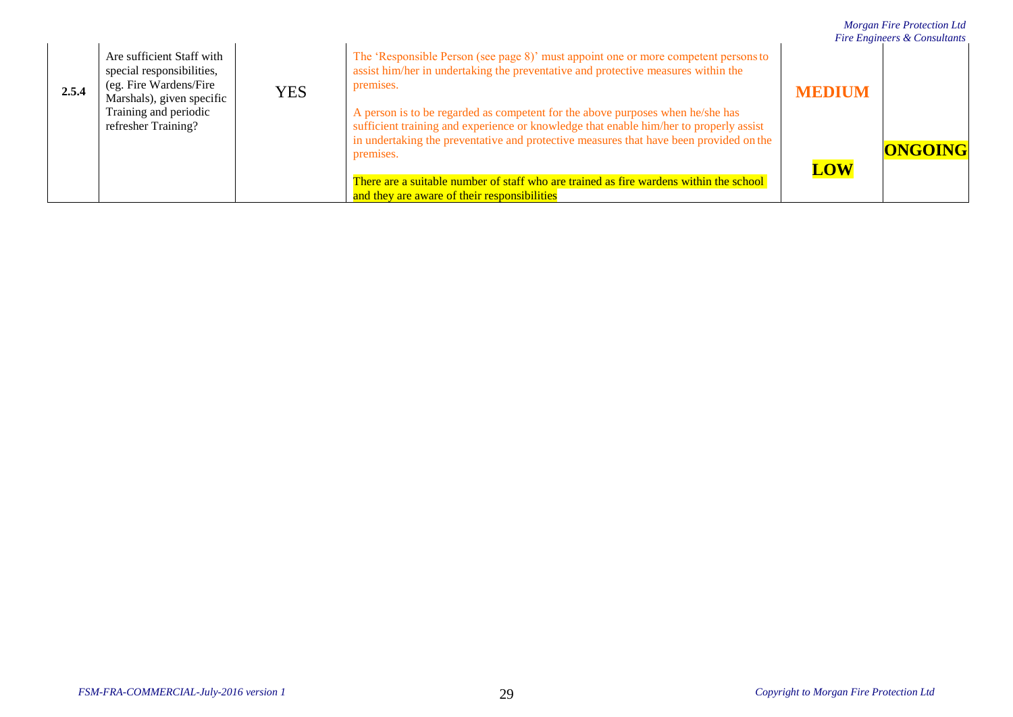|       |                                                                                                               |            |                                                                                                                                                                                       |               | <b>Morgan Fire Protection Ltd</b><br><b>Fire Engineers &amp; Consultants</b> |
|-------|---------------------------------------------------------------------------------------------------------------|------------|---------------------------------------------------------------------------------------------------------------------------------------------------------------------------------------|---------------|------------------------------------------------------------------------------|
| 2.5.4 | Are sufficient Staff with<br>special responsibilities,<br>(eg. Fire Wardens/Fire<br>Marshals), given specific | <b>YES</b> | The 'Responsible Person (see page 8)' must appoint one or more competent persons to<br>assist him/her in undertaking the preventative and protective measures within the<br>premises. | <b>MEDIUM</b> |                                                                              |
|       | Training and periodic<br>refresher Training?                                                                  |            | A person is to be regarded as competent for the above purposes when he/she has                                                                                                        |               |                                                                              |
|       |                                                                                                               |            | sufficient training and experience or knowledge that enable him/her to properly assist<br>in undertaking the preventative and protective measures that have been provided on the      |               | <b>ONGOING</b>                                                               |
|       |                                                                                                               |            | premises.                                                                                                                                                                             | <b>LOW</b>    |                                                                              |
|       |                                                                                                               |            | There are a suitable number of staff who are trained as fire wardens within the school<br>and they are aware of their responsibilities                                                |               |                                                                              |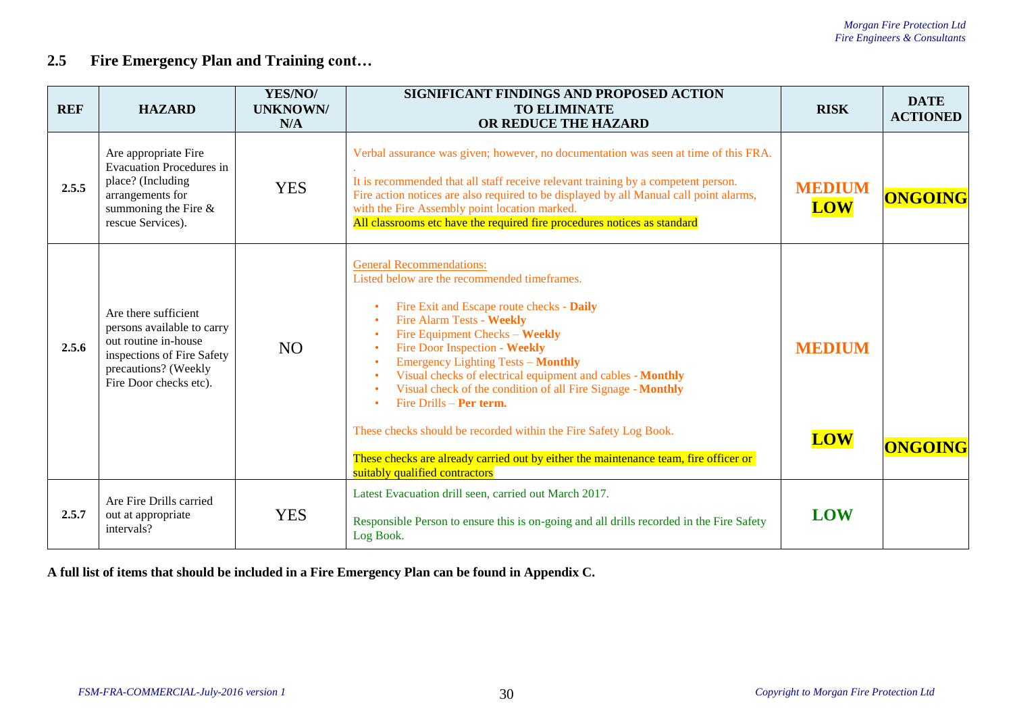### **2.5 Fire Emergency Plan and Training cont…**

| <b>REF</b> | <b>HAZARD</b>                                                                                                                                              | YES/NO/<br><b>UNKNOWN/</b><br>N/A | <b>SIGNIFICANT FINDINGS AND PROPOSED ACTION</b><br><b>TO ELIMINATE</b><br>OR REDUCE THE HAZARD                                                                                                                                                                                                                                                                                                                                                                                                                      | <b>RISK</b>                 | <b>DATE</b><br><b>ACTIONED</b> |
|------------|------------------------------------------------------------------------------------------------------------------------------------------------------------|-----------------------------------|---------------------------------------------------------------------------------------------------------------------------------------------------------------------------------------------------------------------------------------------------------------------------------------------------------------------------------------------------------------------------------------------------------------------------------------------------------------------------------------------------------------------|-----------------------------|--------------------------------|
| 2.5.5      | Are appropriate Fire<br><b>Evacuation Procedures in</b><br>place? (Including<br>arrangements for<br>summoning the Fire $\&$<br>rescue Services).           | <b>YES</b>                        | Verbal assurance was given; however, no documentation was seen at time of this FRA.<br>It is recommended that all staff receive relevant training by a competent person.<br>Fire action notices are also required to be displayed by all Manual call point alarms,<br>with the Fire Assembly point location marked.<br>All classrooms etc have the required fire procedures notices as standard                                                                                                                     | <b>MEDIUM</b><br><b>LOW</b> | <b>ONGOING</b>                 |
| 2.5.6      | Are there sufficient<br>persons available to carry<br>out routine in-house<br>inspections of Fire Safety<br>precautions? (Weekly<br>Fire Door checks etc). | N <sub>O</sub>                    | <b>General Recommendations:</b><br>Listed below are the recommended timeframes.<br>Fire Exit and Escape route checks - Daily<br><b>Fire Alarm Tests - Weekly</b><br>Fire Equipment Checks - Weekly<br><b>Fire Door Inspection - Weekly</b><br><b>Emergency Lighting Tests - Monthly</b><br>Visual checks of electrical equipment and cables - Monthly<br>Visual check of the condition of all Fire Signage - Monthly<br>Fire Drills - Per term.<br>These checks should be recorded within the Fire Safety Log Book. | <b>MEDIUM</b>               |                                |
|            |                                                                                                                                                            |                                   | These checks are already carried out by either the maintenance team, fire officer or<br>suitably qualified contractors                                                                                                                                                                                                                                                                                                                                                                                              | <b>LOW</b>                  | <b>ONGOING</b>                 |
| 2.5.7      | Are Fire Drills carried<br>out at appropriate<br>intervals?                                                                                                | <b>YES</b>                        | Latest Evacuation drill seen, carried out March 2017.<br>Responsible Person to ensure this is on-going and all drills recorded in the Fire Safety<br>Log Book.                                                                                                                                                                                                                                                                                                                                                      | <b>LOW</b>                  |                                |

**A full list of items that should be included in a Fire Emergency Plan can be found in Appendix C.**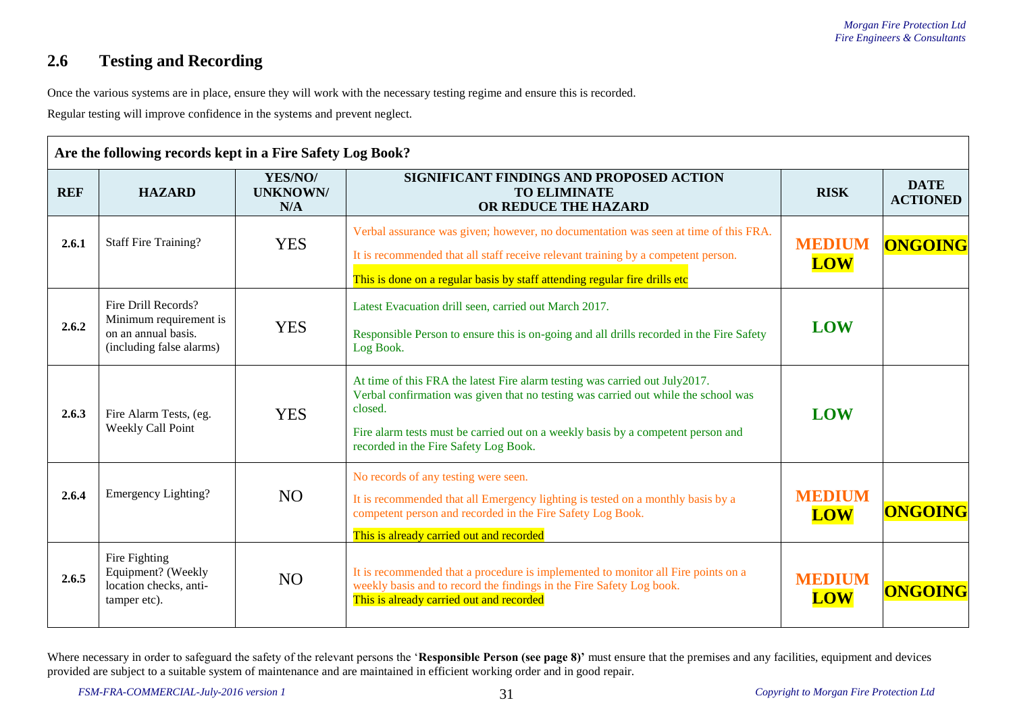### **2.6 Testing and Recording**

Once the various systems are in place, ensure they will work with the necessary testing regime and ensure this is recorded.

Regular testing will improve confidence in the systems and prevent neglect.

| Are the following records kept in a Fire Safety Log Book? |                                                                                                  |                                                                                                                              |                                                                                                                                                                                                                                                                                                           |                             |                                |
|-----------------------------------------------------------|--------------------------------------------------------------------------------------------------|------------------------------------------------------------------------------------------------------------------------------|-----------------------------------------------------------------------------------------------------------------------------------------------------------------------------------------------------------------------------------------------------------------------------------------------------------|-----------------------------|--------------------------------|
| <b>REF</b>                                                | <b>HAZARD</b>                                                                                    | YES/NO/<br>SIGNIFICANT FINDINGS AND PROPOSED ACTION<br><b>UNKNOWN/</b><br><b>TO ELIMINATE</b><br>OR REDUCE THE HAZARD<br>N/A |                                                                                                                                                                                                                                                                                                           | <b>RISK</b>                 | <b>DATE</b><br><b>ACTIONED</b> |
| 2.6.1                                                     | <b>Staff Fire Training?</b>                                                                      | <b>YES</b>                                                                                                                   | Verbal assurance was given; however, no documentation was seen at time of this FRA.<br>It is recommended that all staff receive relevant training by a competent person.<br>This is done on a regular basis by staff attending regular fire drills etc                                                    | <b>MEDIUM</b><br><b>LOW</b> | <b>ONGOING</b>                 |
| 2.6.2                                                     | Fire Drill Records?<br>Minimum requirement is<br>on an annual basis.<br>(including false alarms) | <b>YES</b>                                                                                                                   | Latest Evacuation drill seen, carried out March 2017.<br>Responsible Person to ensure this is on-going and all drills recorded in the Fire Safety<br>Log Book.                                                                                                                                            | <b>LOW</b>                  |                                |
| 2.6.3                                                     | Fire Alarm Tests, (eg.<br>Weekly Call Point                                                      | <b>YES</b>                                                                                                                   | At time of this FRA the latest Fire alarm testing was carried out July2017.<br>Verbal confirmation was given that no testing was carried out while the school was<br>closed.<br>Fire alarm tests must be carried out on a weekly basis by a competent person and<br>recorded in the Fire Safety Log Book. | <b>LOW</b>                  |                                |
| 2.6.4                                                     | Emergency Lighting?                                                                              | N <sub>O</sub>                                                                                                               | No records of any testing were seen.<br>It is recommended that all Emergency lighting is tested on a monthly basis by a<br>competent person and recorded in the Fire Safety Log Book.<br>This is already carried out and recorded                                                                         | <b>MEDIUM</b><br><b>LOW</b> | <b>ONGOING</b>                 |
| 2.6.5                                                     | Fire Fighting<br>Equipment? (Weekly<br>location checks, anti-<br>tamper etc).                    | NO <sub>1</sub>                                                                                                              | It is recommended that a procedure is implemented to monitor all Fire points on a<br>weekly basis and to record the findings in the Fire Safety Log book.<br>This is already carried out and recorded                                                                                                     | <b>MEDIUM</b><br><b>LOW</b> | <b>ONGOING</b>                 |

Where necessary in order to safeguard the safety of the relevant persons the 'Responsible Person (see page 8)' must ensure that the premises and any facilities, equipment and devices provided are subject to a suitable system of maintenance and are maintained in efficient working order and in good repair.

*FSM-FRA-COMMERCIAL-July-2016 version 1* 31 *Copyright to Morgan Fire Protection Ltd*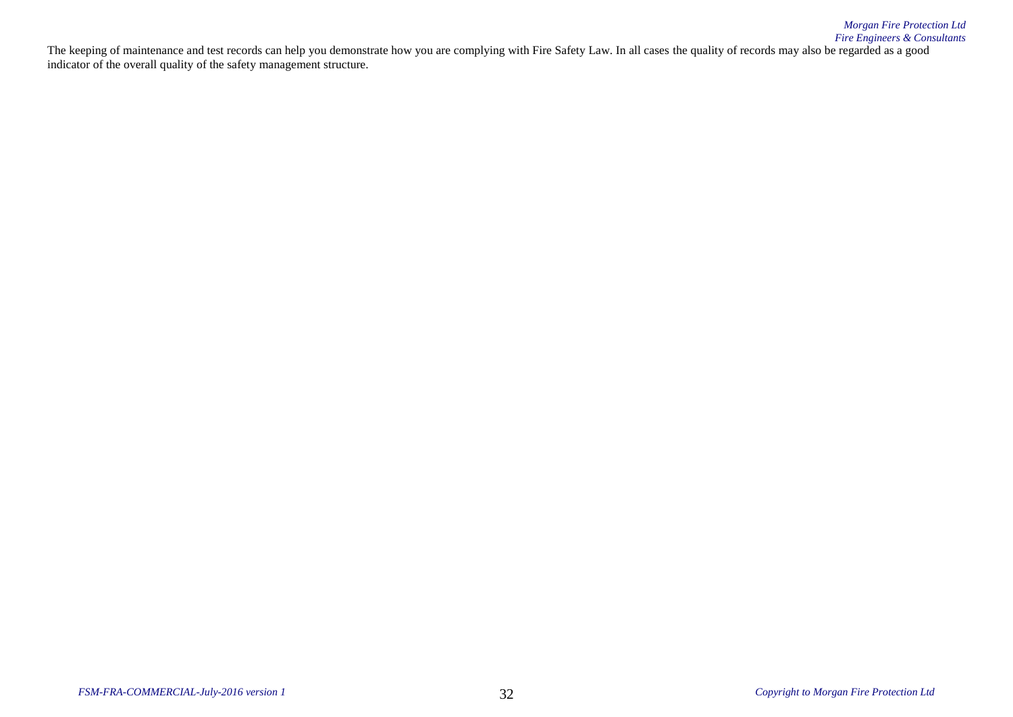The keeping of maintenance and test records can help you demonstrate how you are complying with Fire Safety Law. In all cases the quality of records may also be regarded as a good indicator of the overall quality of the safety management structure.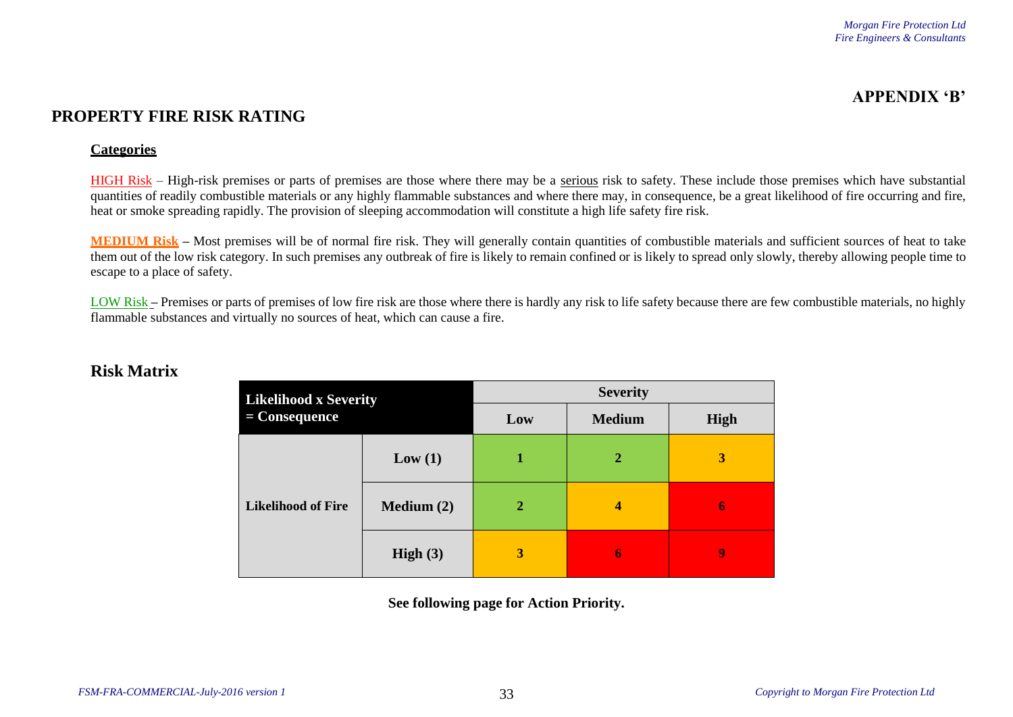### **APPENDIX 'B'**

### **PROPERTY FIRE RISK RATING**

#### **Categories**

HIGH Risk – High-risk premises or parts of premises are those where there may be a serious risk to safety. These include those premises which have substantial quantities of readily combustible materials or any highly flammable substances and where there may, in consequence, be a great likelihood of fire occurring and fire, heat or smoke spreading rapidly. The provision of sleeping accommodation will constitute a high life safety fire risk.

**MEDIUM Risk** *–* Most premises will be of normal fire risk. They will generally contain quantities of combustible materials and sufficient sources of heat to take them out of the low risk category. In such premises any outbreak of fire is likely to remain confined or is likely to spread only slowly, thereby allowing people time to escape to a place of safety.

LOW Risk – Premises or parts of premises of low fire risk are those where there is hardly any risk to life safety because there are few combustible materials, no highly flammable substances and virtually no sources of heat, which can cause a fire.

### **Risk Matrix**

| <b>Likelihood x Severity</b><br>$=$ Consequence |              | <b>Severity</b> |               |                  |  |
|-------------------------------------------------|--------------|-----------------|---------------|------------------|--|
|                                                 |              | Low             | <b>Medium</b> | High             |  |
|                                                 | Low(1)       | 1               | $\mathbf{2}$  | 3                |  |
| <b>Likelihood of Fire</b>                       | Medium $(2)$ | $\mathbf{2}$    | 4             | 6                |  |
|                                                 | High $(3)$   | 3               | 6             | $\boldsymbol{Q}$ |  |

**See following page for Action Priority.**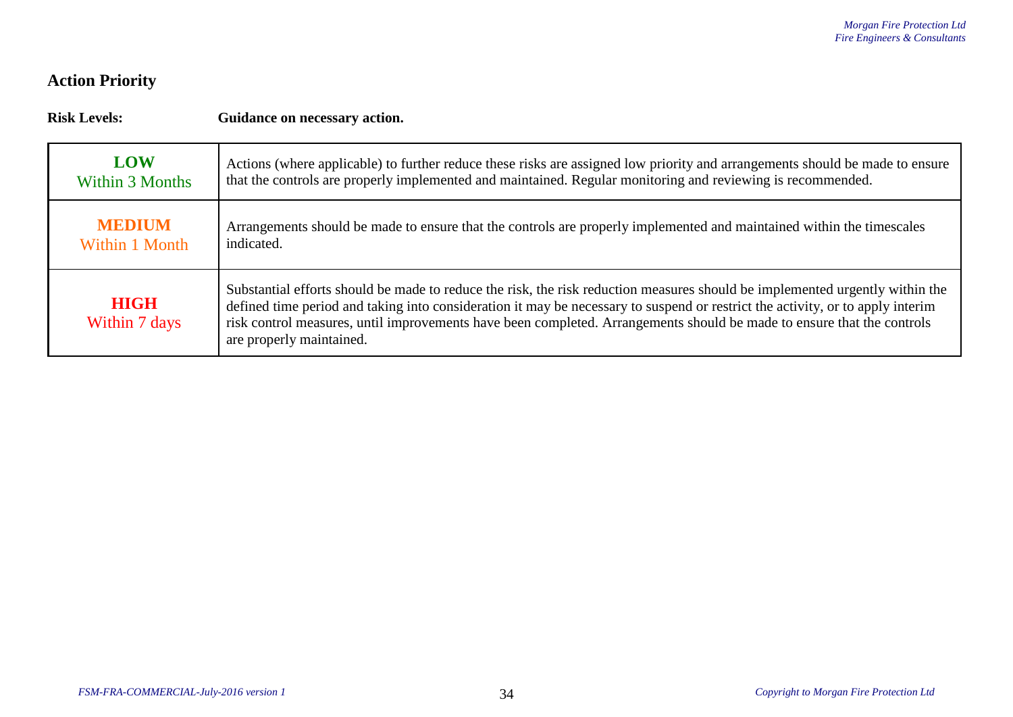### **Action Priority**

### **Risk Levels: Guidance on necessary action.**

| <b>LOW</b>                   | Actions (where applicable) to further reduce these risks are assigned low priority and arrangements should be made to ensure                                                                                                                                                                                                                                                                                         |
|------------------------------|----------------------------------------------------------------------------------------------------------------------------------------------------------------------------------------------------------------------------------------------------------------------------------------------------------------------------------------------------------------------------------------------------------------------|
| <b>Within 3 Months</b>       | that the controls are properly implemented and maintained. Regular monitoring and reviewing is recommended.                                                                                                                                                                                                                                                                                                          |
| <b>MEDIUM</b>                | Arrangements should be made to ensure that the controls are properly implemented and maintained within the timescales                                                                                                                                                                                                                                                                                                |
| Within 1 Month               | indicated.                                                                                                                                                                                                                                                                                                                                                                                                           |
| <b>HIGH</b><br>Within 7 days | Substantial efforts should be made to reduce the risk, the risk reduction measures should be implemented urgently within the<br>defined time period and taking into consideration it may be necessary to suspend or restrict the activity, or to apply interim<br>risk control measures, until improvements have been completed. Arrangements should be made to ensure that the controls<br>are properly maintained. |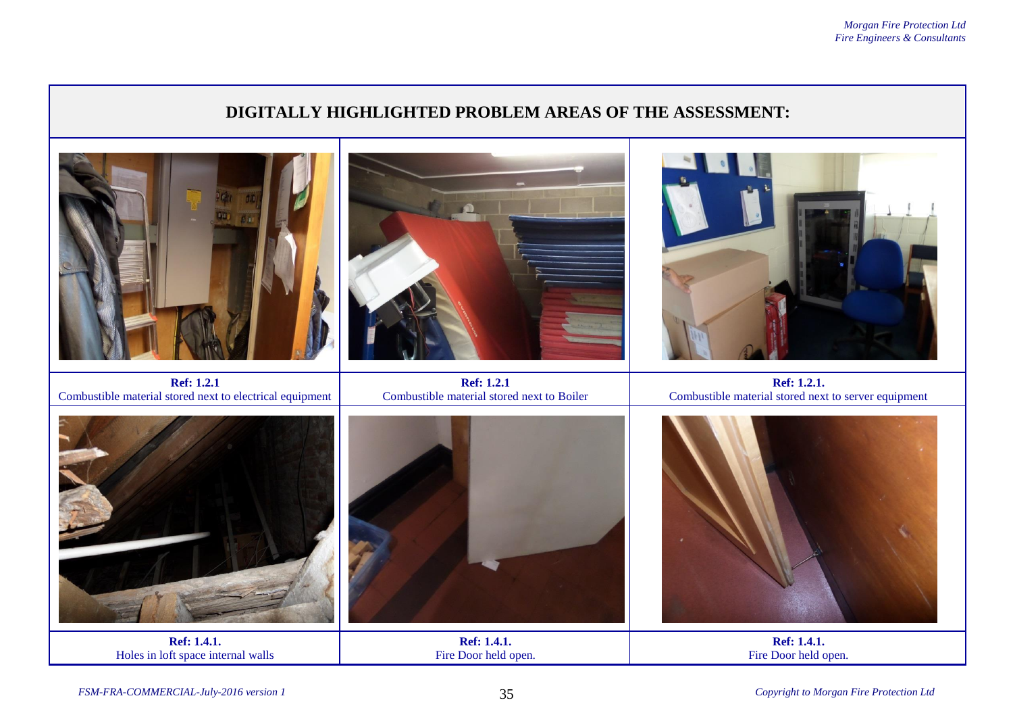### **DIGITALLY HIGHLIGHTED PROBLEM AREAS OF THE ASSESSMENT:**

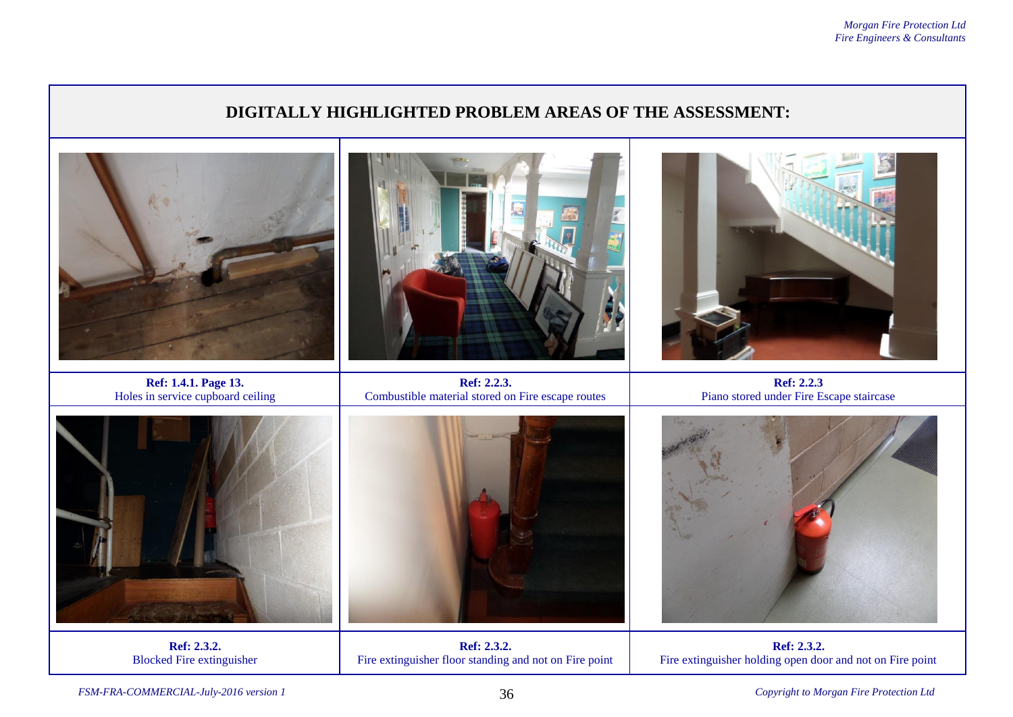### **DIGITALLY HIGHLIGHTED PROBLEM AREAS OF THE ASSESSMENT:**



**Ref: 1.4.1. Page 13.** Holes in service cupboard ceiling



**Ref: 2.2.3.** Combustible material stored on Fire escape routes



**Ref: 2.2.3** Piano stored under Fire Escape staircase



**Ref: 2.3.2.** Blocked Fire extinguisher



**Ref: 2.3.2.** Fire extinguisher floor standing and not on Fire point



**Ref: 2.3.2.** Fire extinguisher holding open door and not on Fire point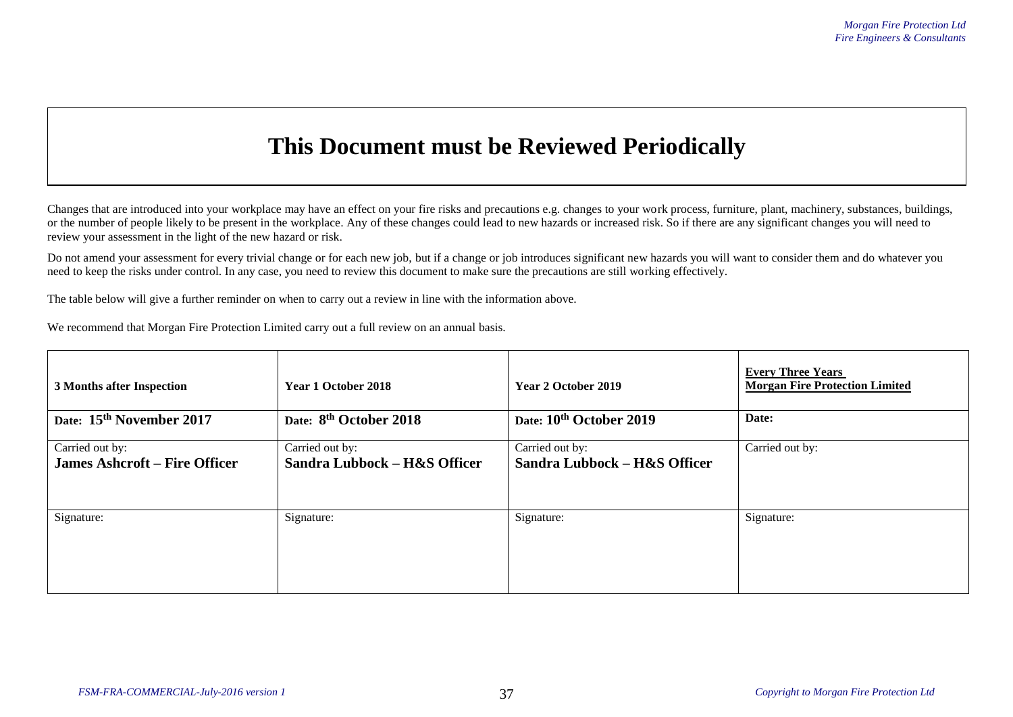## **This Document must be Reviewed Periodically**

Changes that are introduced into your workplace may have an effect on your fire risks and precautions e.g. changes to your work process, furniture, plant, machinery, substances, buildings, or the number of people likely to be present in the workplace. Any of these changes could lead to new hazards or increased risk. So if there are any significant changes you will need to review your assessment in the light of the new hazard or risk.

Do not amend your assessment for every trivial change or for each new job, but if a change or job introduces significant new hazards you will want to consider them and do whatever you need to keep the risks under control. In any case, you need to review this document to make sure the precautions are still working effectively.

The table below will give a further reminder on when to carry out a review in line with the information above.

We recommend that Morgan Fire Protection Limited carry out a full review on an annual basis.

| 3 Months after Inspection                               | Year 1 October 2018                             | Year 2 October 2019                             | <b>Every Three Years</b><br><b>Morgan Fire Protection Limited</b> |
|---------------------------------------------------------|-------------------------------------------------|-------------------------------------------------|-------------------------------------------------------------------|
| Date: 15 <sup>th</sup> November 2017                    | Date: 8 <sup>th</sup> October 2018              | Date: 10 <sup>th</sup> October 2019             | Date:                                                             |
| Carried out by:<br><b>James Ashcroft – Fire Officer</b> | Carried out by:<br>Sandra Lubbock – H&S Officer | Carried out by:<br>Sandra Lubbock – H&S Officer | Carried out by:                                                   |
| Signature:                                              | Signature:                                      | Signature:                                      | Signature:                                                        |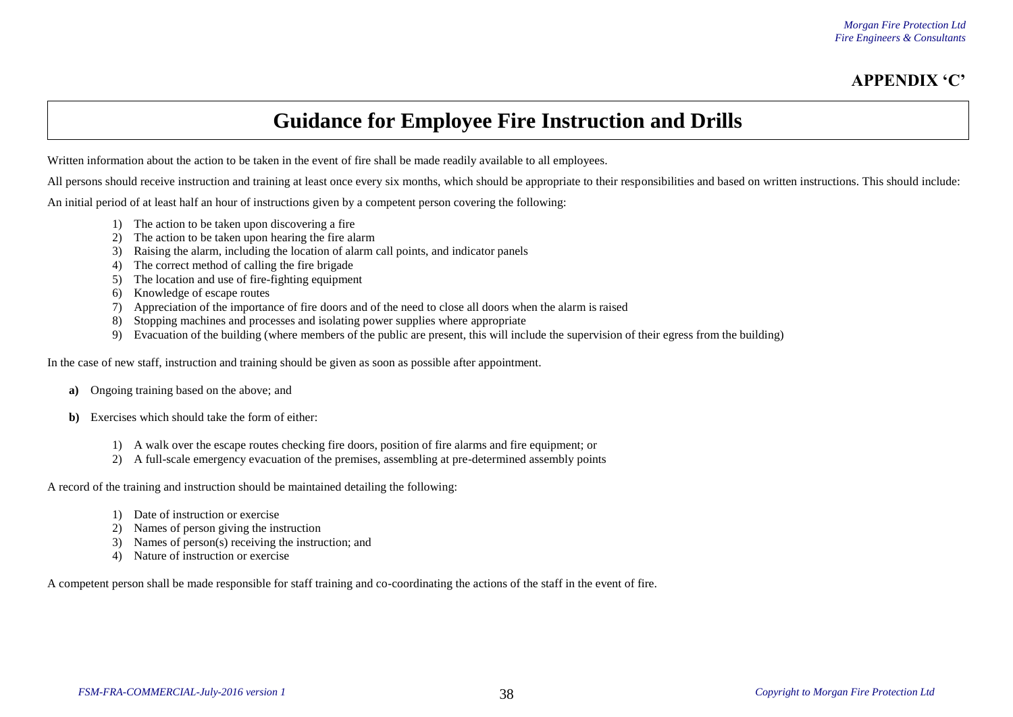### **APPENDIX 'C'**

## **Guidance for Employee Fire Instruction and Drills**

Written information about the action to be taken in the event of fire shall be made readily available to all employees.

All persons should receive instruction and training at least once every six months, which should be appropriate to their responsibilities and based on written instructions. This should include:

An initial period of at least half an hour of instructions given by a competent person covering the following:

- 1) The action to be taken upon discovering a fire
- 2) The action to be taken upon hearing the fire alarm
- 3) Raising the alarm, including the location of alarm call points, and indicator panels
- 4) The correct method of calling the fire brigade
- 5) The location and use of fire-fighting equipment
- 6) Knowledge of escape routes
- 7) Appreciation of the importance of fire doors and of the need to close all doors when the alarm is raised
- 8) Stopping machines and processes and isolating power supplies where appropriate
- 9) Evacuation of the building (where members of the public are present, this will include the supervision of their egress from the building)

In the case of new staff, instruction and training should be given as soon as possible after appointment.

- **a)** Ongoing training based on the above; and
- **b)** Exercises which should take the form of either:
	- 1) A walk over the escape routes checking fire doors, position of fire alarms and fire equipment; or
	- 2) A full-scale emergency evacuation of the premises, assembling at pre-determined assembly points

A record of the training and instruction should be maintained detailing the following:

- 1) Date of instruction or exercise
- 2) Names of person giving the instruction
- 3) Names of person(s) receiving the instruction; and
- 4) Nature of instruction or exercise

A competent person shall be made responsible for staff training and co-coordinating the actions of the staff in the event of fire.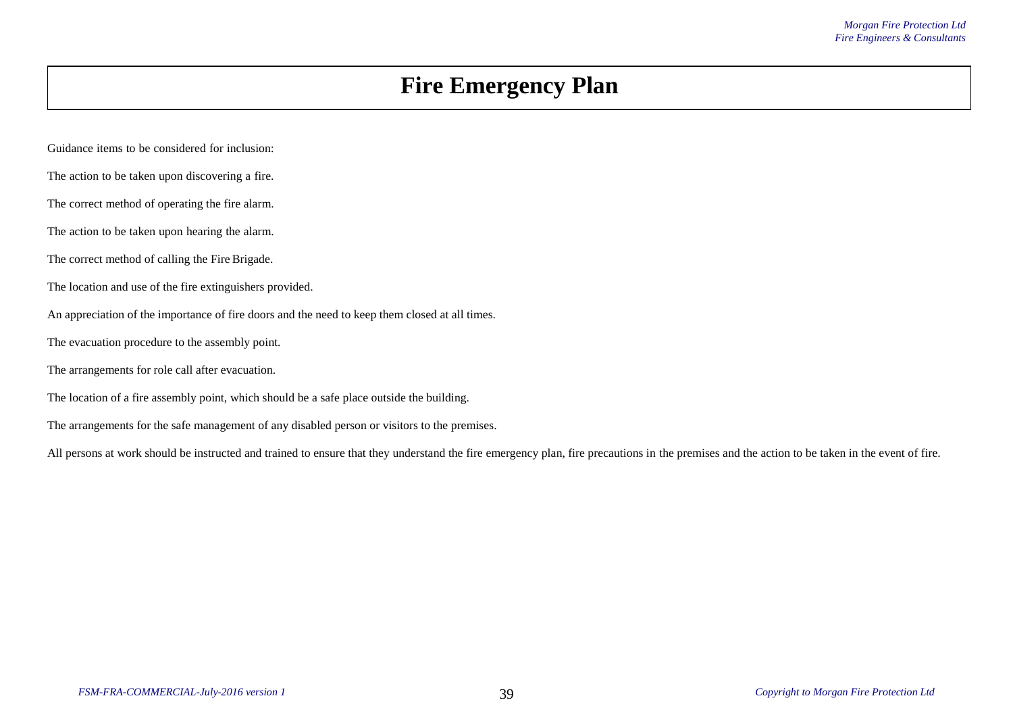## **Fire Emergency Plan**

Guidance items to be considered for inclusion: The action to be taken upon discovering a fire. The correct method of operating the fire alarm. The action to be taken upon hearing the alarm. The correct method of calling the Fire Brigade. The location and use of the fire extinguishers provided. An appreciation of the importance of fire doors and the need to keep them closed at all times. The evacuation procedure to the assembly point. The arrangements for role call after evacuation. The location of a fire assembly point, which should be a safe place outside the building. The arrangements for the safe management of any disabled person or visitors to the premises. All persons at work should be instructed and trained to ensure that they understand the fire emergency plan, fire precautions in the premises and the action to be taken in the event of fire.